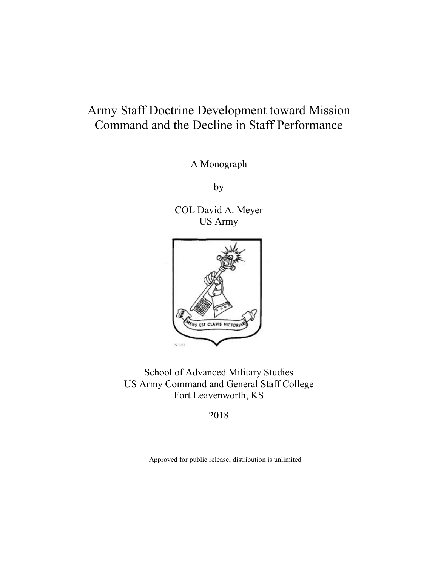# Army Staff Doctrine Development toward Mission Command and the Decline in Staff Performance

A Monograph

by

COL David A. Meyer US Army



School of Advanced Military Studies US Army Command and General Staff College Fort Leavenworth, KS

2018

Approved for public release; distribution is unlimited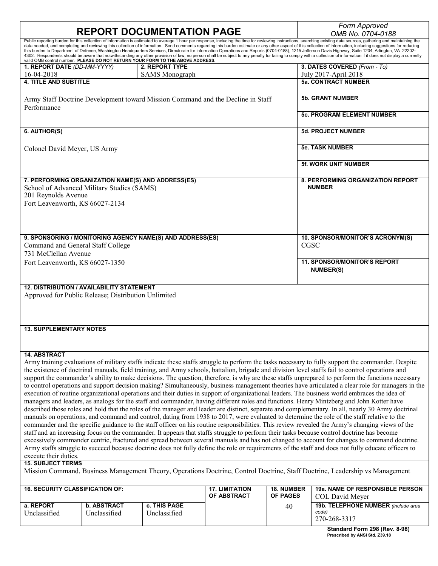|                                                                                                                                                     |                    |                                                                                 |                       |                   | Form Approved                                                                                                                                                                                                                                                                                                                                                                                                                             |  |
|-----------------------------------------------------------------------------------------------------------------------------------------------------|--------------------|---------------------------------------------------------------------------------|-----------------------|-------------------|-------------------------------------------------------------------------------------------------------------------------------------------------------------------------------------------------------------------------------------------------------------------------------------------------------------------------------------------------------------------------------------------------------------------------------------------|--|
| <b>REPORT DOCUMENTATION PAGE</b>                                                                                                                    |                    |                                                                                 |                       |                   | OMB No. 0704-0188                                                                                                                                                                                                                                                                                                                                                                                                                         |  |
|                                                                                                                                                     |                    |                                                                                 |                       |                   | Public reporting burden for this collection of information is estimated to average 1 hour per response, including the time for reviewing instructions, searching existing data sources, gathering and maintaining the<br>data needed, and completing and reviewing this collection of information. Send comments regarding this burden estimate or any other aspect of this collection of information, including suggestions for reducing |  |
|                                                                                                                                                     |                    |                                                                                 |                       |                   | this burden to Department of Defense, Washington Headquarters Services, Directorate for Information Operations and Reports (0704-0188), 1215 Jefferson Davis Highway, Suite 1204, Arlington, VA 22202-                                                                                                                                                                                                                                    |  |
|                                                                                                                                                     |                    | valid OMB control number. PLEASE DO NOT RETURN YOUR FORM TO THE ABOVE ADDRESS.  |                       |                   | 4302. Respondents should be aware that notwithstanding any other provision of law, no person shall be subject to any penalty for failing to comply with a collection of information if it does not display a currently                                                                                                                                                                                                                    |  |
| 1. REPORT DATE (DD-MM-YYYY)                                                                                                                         |                    | 2. REPORT TYPE                                                                  |                       |                   | 3. DATES COVERED (From - To)                                                                                                                                                                                                                                                                                                                                                                                                              |  |
| 16-04-2018                                                                                                                                          |                    | <b>SAMS</b> Monograph                                                           |                       |                   | July 2017-April 2018                                                                                                                                                                                                                                                                                                                                                                                                                      |  |
| <b>4. TITLE AND SUBTITLE</b>                                                                                                                        |                    |                                                                                 |                       |                   | <b>5a. CONTRACT NUMBER</b>                                                                                                                                                                                                                                                                                                                                                                                                                |  |
|                                                                                                                                                     |                    |                                                                                 |                       |                   |                                                                                                                                                                                                                                                                                                                                                                                                                                           |  |
|                                                                                                                                                     |                    |                                                                                 |                       |                   | <b>5b. GRANT NUMBER</b>                                                                                                                                                                                                                                                                                                                                                                                                                   |  |
|                                                                                                                                                     |                    | Army Staff Doctrine Development toward Mission Command and the Decline in Staff |                       |                   |                                                                                                                                                                                                                                                                                                                                                                                                                                           |  |
| Performance                                                                                                                                         |                    |                                                                                 |                       |                   |                                                                                                                                                                                                                                                                                                                                                                                                                                           |  |
|                                                                                                                                                     |                    |                                                                                 |                       |                   | <b>5c. PROGRAM ELEMENT NUMBER</b>                                                                                                                                                                                                                                                                                                                                                                                                         |  |
|                                                                                                                                                     |                    |                                                                                 |                       |                   |                                                                                                                                                                                                                                                                                                                                                                                                                                           |  |
| 6. AUTHOR(S)                                                                                                                                        |                    |                                                                                 |                       |                   | <b>5d. PROJECT NUMBER</b>                                                                                                                                                                                                                                                                                                                                                                                                                 |  |
|                                                                                                                                                     |                    |                                                                                 |                       |                   |                                                                                                                                                                                                                                                                                                                                                                                                                                           |  |
| Colonel David Meyer, US Army                                                                                                                        |                    |                                                                                 |                       |                   | <b>5e. TASK NUMBER</b>                                                                                                                                                                                                                                                                                                                                                                                                                    |  |
|                                                                                                                                                     |                    |                                                                                 |                       |                   |                                                                                                                                                                                                                                                                                                                                                                                                                                           |  |
|                                                                                                                                                     |                    |                                                                                 |                       |                   | <b>5f. WORK UNIT NUMBER</b>                                                                                                                                                                                                                                                                                                                                                                                                               |  |
|                                                                                                                                                     |                    |                                                                                 |                       |                   |                                                                                                                                                                                                                                                                                                                                                                                                                                           |  |
| 7. PERFORMING ORGANIZATION NAME(S) AND ADDRESS(ES)                                                                                                  |                    |                                                                                 |                       |                   | 8. PERFORMING ORGANIZATION REPORT                                                                                                                                                                                                                                                                                                                                                                                                         |  |
| School of Advanced Military Studies (SAMS)                                                                                                          |                    |                                                                                 |                       |                   | <b>NUMBER</b>                                                                                                                                                                                                                                                                                                                                                                                                                             |  |
| 201 Reynolds Avenue                                                                                                                                 |                    |                                                                                 |                       |                   |                                                                                                                                                                                                                                                                                                                                                                                                                                           |  |
|                                                                                                                                                     |                    |                                                                                 |                       |                   |                                                                                                                                                                                                                                                                                                                                                                                                                                           |  |
| Fort Leavenworth, KS 66027-2134                                                                                                                     |                    |                                                                                 |                       |                   |                                                                                                                                                                                                                                                                                                                                                                                                                                           |  |
|                                                                                                                                                     |                    |                                                                                 |                       |                   |                                                                                                                                                                                                                                                                                                                                                                                                                                           |  |
|                                                                                                                                                     |                    |                                                                                 |                       |                   |                                                                                                                                                                                                                                                                                                                                                                                                                                           |  |
|                                                                                                                                                     |                    |                                                                                 |                       |                   |                                                                                                                                                                                                                                                                                                                                                                                                                                           |  |
|                                                                                                                                                     |                    | 9. SPONSORING / MONITORING AGENCY NAME(S) AND ADDRESS(ES)                       |                       |                   | 10. SPONSOR/MONITOR'S ACRONYM(S)                                                                                                                                                                                                                                                                                                                                                                                                          |  |
| Command and General Staff College                                                                                                                   |                    |                                                                                 |                       | <b>CGSC</b>       |                                                                                                                                                                                                                                                                                                                                                                                                                                           |  |
| 731 McClellan Avenue                                                                                                                                |                    |                                                                                 |                       |                   |                                                                                                                                                                                                                                                                                                                                                                                                                                           |  |
|                                                                                                                                                     |                    |                                                                                 |                       |                   | <b>11. SPONSOR/MONITOR'S REPORT</b>                                                                                                                                                                                                                                                                                                                                                                                                       |  |
| Fort Leavenworth, KS 66027-1350                                                                                                                     |                    |                                                                                 |                       |                   | <b>NUMBER(S)</b>                                                                                                                                                                                                                                                                                                                                                                                                                          |  |
|                                                                                                                                                     |                    |                                                                                 |                       |                   |                                                                                                                                                                                                                                                                                                                                                                                                                                           |  |
|                                                                                                                                                     |                    |                                                                                 |                       |                   |                                                                                                                                                                                                                                                                                                                                                                                                                                           |  |
| <b>12. DISTRIBUTION / AVAILABILITY STATEMENT</b>                                                                                                    |                    |                                                                                 |                       |                   |                                                                                                                                                                                                                                                                                                                                                                                                                                           |  |
| Approved for Public Release; Distribution Unlimited                                                                                                 |                    |                                                                                 |                       |                   |                                                                                                                                                                                                                                                                                                                                                                                                                                           |  |
|                                                                                                                                                     |                    |                                                                                 |                       |                   |                                                                                                                                                                                                                                                                                                                                                                                                                                           |  |
|                                                                                                                                                     |                    |                                                                                 |                       |                   |                                                                                                                                                                                                                                                                                                                                                                                                                                           |  |
|                                                                                                                                                     |                    |                                                                                 |                       |                   |                                                                                                                                                                                                                                                                                                                                                                                                                                           |  |
| <b>13. SUPPLEMENTARY NOTES</b>                                                                                                                      |                    |                                                                                 |                       |                   |                                                                                                                                                                                                                                                                                                                                                                                                                                           |  |
|                                                                                                                                                     |                    |                                                                                 |                       |                   |                                                                                                                                                                                                                                                                                                                                                                                                                                           |  |
|                                                                                                                                                     |                    |                                                                                 |                       |                   |                                                                                                                                                                                                                                                                                                                                                                                                                                           |  |
|                                                                                                                                                     |                    |                                                                                 |                       |                   |                                                                                                                                                                                                                                                                                                                                                                                                                                           |  |
| <b>14. ABSTRACT</b>                                                                                                                                 |                    |                                                                                 |                       |                   |                                                                                                                                                                                                                                                                                                                                                                                                                                           |  |
|                                                                                                                                                     |                    |                                                                                 |                       |                   | Army training evaluations of military staffs indicate these staffs struggle to perform the tasks necessary to fully support the commander. Despite                                                                                                                                                                                                                                                                                        |  |
| the existence of doctrinal manuals, field training, and Army schools, battalion, brigade and division level staffs fail to control operations and   |                    |                                                                                 |                       |                   |                                                                                                                                                                                                                                                                                                                                                                                                                                           |  |
| support the commander's ability to make decisions. The question, therefore, is why are these staffs unprepared to perform the functions necessary   |                    |                                                                                 |                       |                   |                                                                                                                                                                                                                                                                                                                                                                                                                                           |  |
| to control operations and support decision making? Simultaneously, business management theories have articulated a clear role for managers in the   |                    |                                                                                 |                       |                   |                                                                                                                                                                                                                                                                                                                                                                                                                                           |  |
| execution of routine organizational operations and their duties in support of organizational leaders. The business world embraces the idea of       |                    |                                                                                 |                       |                   |                                                                                                                                                                                                                                                                                                                                                                                                                                           |  |
| managers and leaders, as analogs for the staff and commander, having different roles and functions. Henry Mintzberg and John Kotter have            |                    |                                                                                 |                       |                   |                                                                                                                                                                                                                                                                                                                                                                                                                                           |  |
| described those roles and hold that the roles of the manager and leader are distinct, separate and complementary. In all, nearly 30 Army doctrinal  |                    |                                                                                 |                       |                   |                                                                                                                                                                                                                                                                                                                                                                                                                                           |  |
| manuals on operations, and command and control, dating from 1938 to 2017, were evaluated to determine the role of the staff relative to the         |                    |                                                                                 |                       |                   |                                                                                                                                                                                                                                                                                                                                                                                                                                           |  |
| commander and the specific guidance to the staff officer on his routine responsibilities. This review revealed the Army's changing views of the     |                    |                                                                                 |                       |                   |                                                                                                                                                                                                                                                                                                                                                                                                                                           |  |
| staff and an increasing focus on the commander. It appears that staffs struggle to perform their tasks because control doctrine has become          |                    |                                                                                 |                       |                   |                                                                                                                                                                                                                                                                                                                                                                                                                                           |  |
| excessively commander centric, fractured and spread between several manuals and has not changed to account for changes to command doctrine.         |                    |                                                                                 |                       |                   |                                                                                                                                                                                                                                                                                                                                                                                                                                           |  |
| Army staffs struggle to succeed because doctrine does not fully define the role or requirements of the staff and does not fully educate officers to |                    |                                                                                 |                       |                   |                                                                                                                                                                                                                                                                                                                                                                                                                                           |  |
| execute their duties.                                                                                                                               |                    |                                                                                 |                       |                   |                                                                                                                                                                                                                                                                                                                                                                                                                                           |  |
| <b>15. SUBJECT TERMS</b>                                                                                                                            |                    |                                                                                 |                       |                   |                                                                                                                                                                                                                                                                                                                                                                                                                                           |  |
| Mission Command, Business Management Theory, Operations Doctrine, Control Doctrine, Staff Doctrine, Leadership vs Management                        |                    |                                                                                 |                       |                   |                                                                                                                                                                                                                                                                                                                                                                                                                                           |  |
|                                                                                                                                                     |                    |                                                                                 |                       |                   |                                                                                                                                                                                                                                                                                                                                                                                                                                           |  |
|                                                                                                                                                     |                    |                                                                                 |                       |                   |                                                                                                                                                                                                                                                                                                                                                                                                                                           |  |
| <b>16. SECURITY CLASSIFICATION OF:</b>                                                                                                              |                    |                                                                                 | <b>17. LIMITATION</b> | <b>18. NUMBER</b> | 19a. NAME OF RESPONSIBLE PERSON                                                                                                                                                                                                                                                                                                                                                                                                           |  |
|                                                                                                                                                     |                    |                                                                                 | OF ABSTRACT           | <b>OF PAGES</b>   | COL David Meyer                                                                                                                                                                                                                                                                                                                                                                                                                           |  |
| a. REPORT                                                                                                                                           |                    |                                                                                 |                       |                   |                                                                                                                                                                                                                                                                                                                                                                                                                                           |  |
|                                                                                                                                                     | <b>b. ABSTRACT</b> | c. THIS PAGE                                                                    |                       |                   | 19b. TELEPHONE NUMBER (include area                                                                                                                                                                                                                                                                                                                                                                                                       |  |
| Unclassified                                                                                                                                        | Unclassified       | Unclassified                                                                    |                       | 40                | code)<br>270-268-3317                                                                                                                                                                                                                                                                                                                                                                                                                     |  |

 $\overline{a}$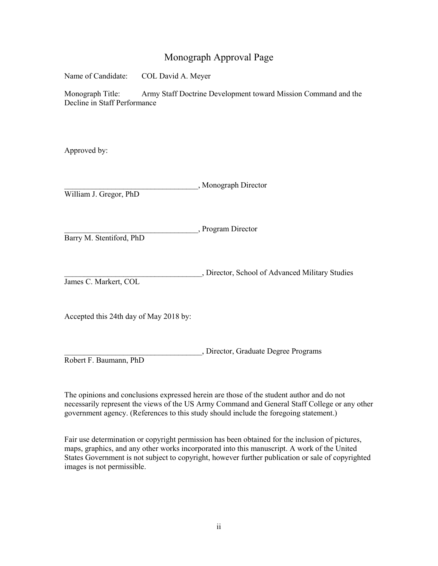### Monograph Approval Page

Name of Candidate: COL David A. Meyer

Monograph Title: Army Staff Doctrine Development toward Mission Command and the Decline in Staff Performance

Approved by:

\_\_\_\_\_\_\_\_\_\_\_\_\_\_\_\_\_\_\_\_\_\_\_\_\_\_\_\_\_\_\_\_\_\_, Monograph Director William J. Gregor, PhD

\_\_\_\_\_\_\_\_\_\_\_\_\_\_\_\_\_\_\_\_\_\_\_\_\_\_\_\_\_\_\_\_\_\_, Program Director

Barry M. Stentiford, PhD

\_\_\_\_\_\_\_\_\_\_\_\_\_\_\_\_\_\_\_\_\_\_\_\_\_\_\_\_\_\_\_\_\_\_\_, Director, School of Advanced Military Studies James C. Markert, COL

Accepted this 24th day of May 2018 by:

\_\_\_\_\_\_\_\_\_\_\_\_\_\_\_\_\_\_\_\_\_\_\_\_\_\_\_\_\_\_\_\_\_\_\_, Director, Graduate Degree Programs Robert F. Baumann, PhD

The opinions and conclusions expressed herein are those of the student author and do not necessarily represent the views of the US Army Command and General Staff College or any other government agency. (References to this study should include the foregoing statement.)

Fair use determination or copyright permission has been obtained for the inclusion of pictures, maps, graphics, and any other works incorporated into this manuscript. A work of the United States Government is not subject to copyright, however further publication or sale of copyrighted images is not permissible.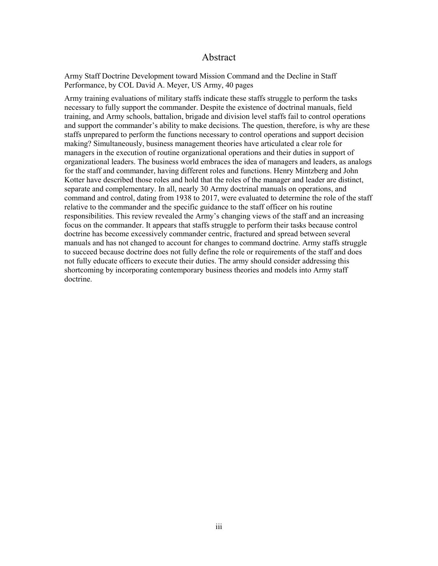#### Abstract

Army Staff Doctrine Development toward Mission Command and the Decline in Staff Performance, by COL David A. Meyer, US Army, 40 pages

Army training evaluations of military staffs indicate these staffs struggle to perform the tasks necessary to fully support the commander. Despite the existence of doctrinal manuals, field training, and Army schools, battalion, brigade and division level staffs fail to control operations and support the commander's ability to make decisions. The question, therefore, is why are these staffs unprepared to perform the functions necessary to control operations and support decision making? Simultaneously, business management theories have articulated a clear role for managers in the execution of routine organizational operations and their duties in support of organizational leaders. The business world embraces the idea of managers and leaders, as analogs for the staff and commander, having different roles and functions. Henry Mintzberg and John Kotter have described those roles and hold that the roles of the manager and leader are distinct, separate and complementary. In all, nearly 30 Army doctrinal manuals on operations, and command and control, dating from 1938 to 2017, were evaluated to determine the role of the staff relative to the commander and the specific guidance to the staff officer on his routine responsibilities. This review revealed the Army's changing views of the staff and an increasing focus on the commander. It appears that staffs struggle to perform their tasks because control doctrine has become excessively commander centric, fractured and spread between several manuals and has not changed to account for changes to command doctrine. Army staffs struggle to succeed because doctrine does not fully define the role or requirements of the staff and does not fully educate officers to execute their duties. The army should consider addressing this shortcoming by incorporating contemporary business theories and models into Army staff doctrine.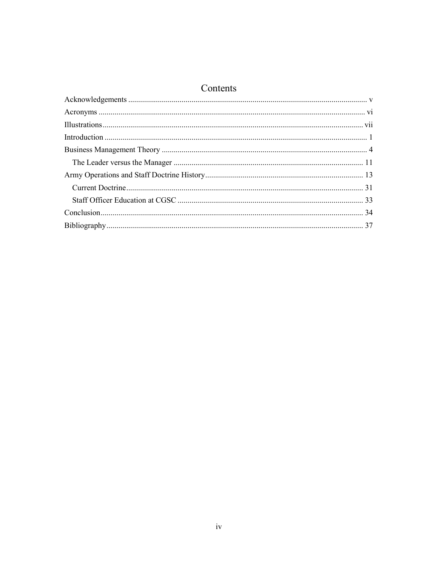### Contents

| - CULIUCITUS |  |
|--------------|--|
|              |  |
|              |  |
|              |  |
|              |  |
|              |  |
|              |  |
|              |  |
|              |  |
|              |  |
|              |  |
|              |  |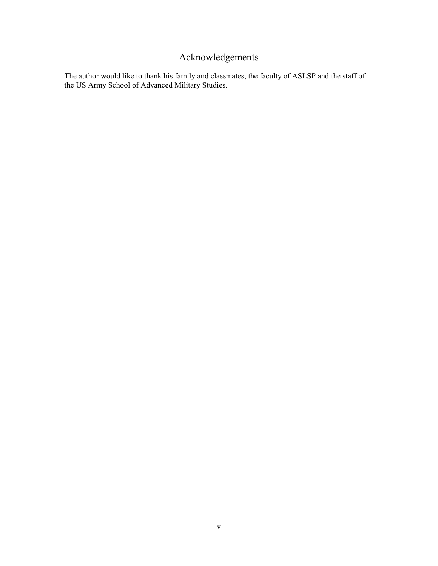## Acknowledgements

<span id="page-5-0"></span>The author would like to thank his family and classmates, the faculty of ASLSP and the staff of the US Army School of Advanced Military Studies.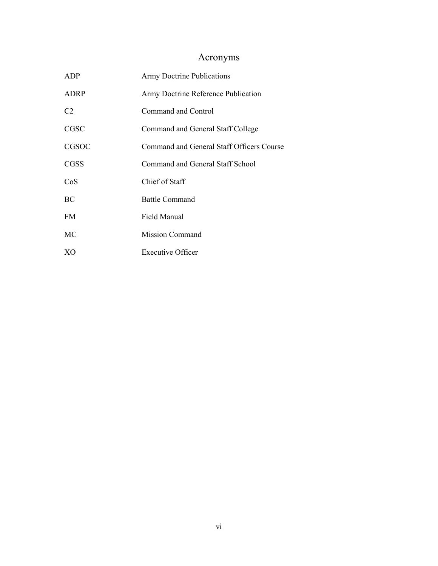## Acronyms

<span id="page-6-0"></span>

| <b>ADP</b>     | <b>Army Doctrine Publications</b>         |
|----------------|-------------------------------------------|
| <b>ADRP</b>    | Army Doctrine Reference Publication       |
| C <sub>2</sub> | <b>Command and Control</b>                |
| <b>CGSC</b>    | Command and General Staff College         |
| CGSOC          | Command and General Staff Officers Course |
| <b>CGSS</b>    | Command and General Staff School          |
| CoS            | Chief of Staff                            |
| BC             | <b>Battle Command</b>                     |
| FM.            | Field Manual                              |
| MC             | <b>Mission Command</b>                    |
| XO             | <b>Executive Officer</b>                  |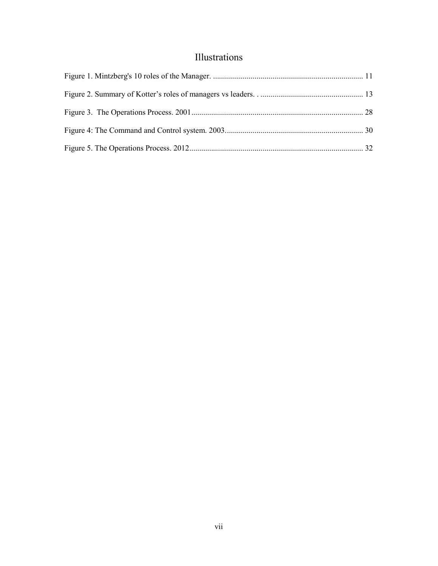### Illustrations

<span id="page-7-0"></span>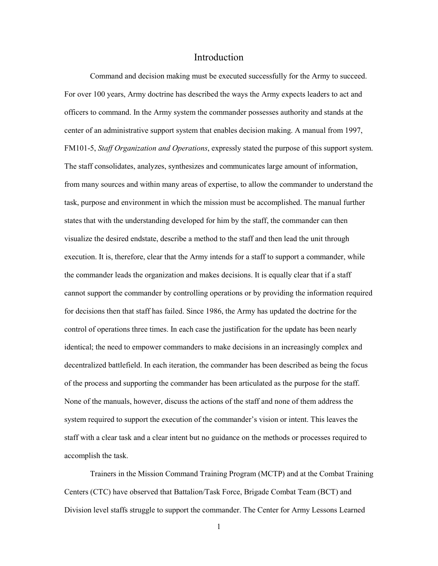#### Introduction

<span id="page-8-0"></span>Command and decision making must be executed successfully for the Army to succeed. For over 100 years, Army doctrine has described the ways the Army expects leaders to act and officers to command. In the Army system the commander possesses authority and stands at the center of an administrative support system that enables decision making. A manual from 1997, FM101-5, *Staff Organization and Operations*, expressly stated the purpose of this support system. The staff consolidates, analyzes, synthesizes and communicates large amount of information, from many sources and within many areas of expertise, to allow the commander to understand the task, purpose and environment in which the mission must be accomplished. The manual further states that with the understanding developed for him by the staff, the commander can then visualize the desired endstate, describe a method to the staff and then lead the unit through execution. It is, therefore, clear that the Army intends for a staff to support a commander, while the commander leads the organization and makes decisions. It is equally clear that if a staff cannot support the commander by controlling operations or by providing the information required for decisions then that staff has failed. Since 1986, the Army has updated the doctrine for the control of operations three times. In each case the justification for the update has been nearly identical; the need to empower commanders to make decisions in an increasingly complex and decentralized battlefield. In each iteration, the commander has been described as being the focus of the process and supporting the commander has been articulated as the purpose for the staff. None of the manuals, however, discuss the actions of the staff and none of them address the system required to support the execution of the commander's vision or intent. This leaves the staff with a clear task and a clear intent but no guidance on the methods or processes required to accomplish the task.

Trainers in the Mission Command Training Program (MCTP) and at the Combat Training Centers (CTC) have observed that Battalion/Task Force, Brigade Combat Team (BCT) and Division level staffs struggle to support the commander. The Center for Army Lessons Learned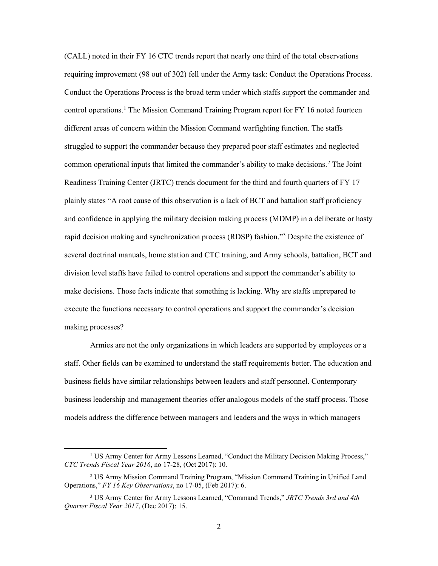(CALL) noted in their FY 16 CTC trends report that nearly one third of the total observations requiring improvement (98 out of 302) fell under the Army task: Conduct the Operations Process. Conduct the Operations Process is the broad term under which staffs support the commander and control operations.<sup>[1](#page-9-0)</sup> The Mission Command Training Program report for FY 16 noted fourteen different areas of concern within the Mission Command warfighting function. The staffs struggled to support the commander because they prepared poor staff estimates and neglected common operational inputs that limited the commander's ability to make decisions.<sup>[2](#page-9-1)</sup> The Joint Readiness Training Center (JRTC) trends document for the third and fourth quarters of FY 17 plainly states "A root cause of this observation is a lack of BCT and battalion staff proficiency and confidence in applying the military decision making process (MDMP) in a deliberate or hasty rapid decision making and synchronization process (RDSP) fashion."[3](#page-9-2) Despite the existence of several doctrinal manuals, home station and CTC training, and Army schools, battalion, BCT and division level staffs have failed to control operations and support the commander's ability to make decisions. Those facts indicate that something is lacking. Why are staffs unprepared to execute the functions necessary to control operations and support the commander's decision making processes?

Armies are not the only organizations in which leaders are supported by employees or a staff. Other fields can be examined to understand the staff requirements better. The education and business fields have similar relationships between leaders and staff personnel. Contemporary business leadership and management theories offer analogous models of the staff process. Those models address the difference between managers and leaders and the ways in which managers

<span id="page-9-0"></span><sup>&</sup>lt;sup>1</sup> US Army Center for Army Lessons Learned, "Conduct the Military Decision Making Process," *CTC Trends Fiscal Year 2016*, no 17-28, (Oct 2017): 10.

<span id="page-9-1"></span><sup>2</sup> US Army Mission Command Training Program, "Mission Command Training in Unified Land Operations," *FY 16 Key Observations*, no 17-05, (Feb 2017): 6.

<span id="page-9-2"></span><sup>3</sup> US Army Center for Army Lessons Learned, "Command Trends," *JRTC Trends 3rd and 4th Quarter Fiscal Year 2017*, (Dec 2017): 15.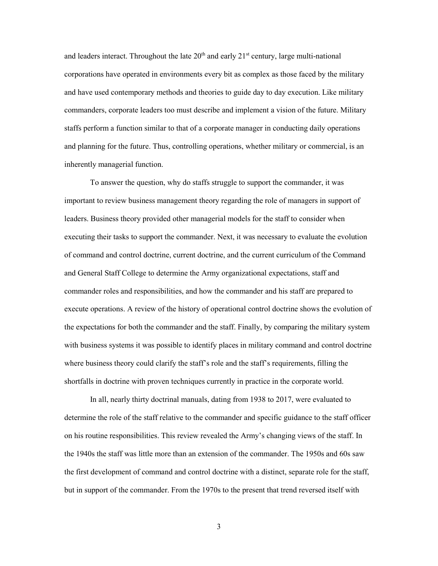and leaders interact. Throughout the late  $20<sup>th</sup>$  and early  $21<sup>st</sup>$  century, large multi-national corporations have operated in environments every bit as complex as those faced by the military and have used contemporary methods and theories to guide day to day execution. Like military commanders, corporate leaders too must describe and implement a vision of the future. Military staffs perform a function similar to that of a corporate manager in conducting daily operations and planning for the future. Thus, controlling operations, whether military or commercial, is an inherently managerial function.

To answer the question, why do staffs struggle to support the commander, it was important to review business management theory regarding the role of managers in support of leaders. Business theory provided other managerial models for the staff to consider when executing their tasks to support the commander. Next, it was necessary to evaluate the evolution of command and control doctrine, current doctrine, and the current curriculum of the Command and General Staff College to determine the Army organizational expectations, staff and commander roles and responsibilities, and how the commander and his staff are prepared to execute operations. A review of the history of operational control doctrine shows the evolution of the expectations for both the commander and the staff. Finally, by comparing the military system with business systems it was possible to identify places in military command and control doctrine where business theory could clarify the staff's role and the staff's requirements, filling the shortfalls in doctrine with proven techniques currently in practice in the corporate world.

In all, nearly thirty doctrinal manuals, dating from 1938 to 2017, were evaluated to determine the role of the staff relative to the commander and specific guidance to the staff officer on his routine responsibilities. This review revealed the Army's changing views of the staff. In the 1940s the staff was little more than an extension of the commander. The 1950s and 60s saw the first development of command and control doctrine with a distinct, separate role for the staff, but in support of the commander. From the 1970s to the present that trend reversed itself with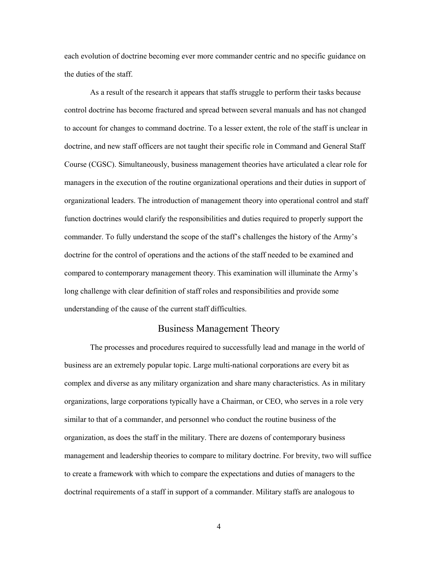each evolution of doctrine becoming ever more commander centric and no specific guidance on the duties of the staff.

As a result of the research it appears that staffs struggle to perform their tasks because control doctrine has become fractured and spread between several manuals and has not changed to account for changes to command doctrine. To a lesser extent, the role of the staff is unclear in doctrine, and new staff officers are not taught their specific role in Command and General Staff Course (CGSC). Simultaneously, business management theories have articulated a clear role for managers in the execution of the routine organizational operations and their duties in support of organizational leaders. The introduction of management theory into operational control and staff function doctrines would clarify the responsibilities and duties required to properly support the commander. To fully understand the scope of the staff's challenges the history of the Army's doctrine for the control of operations and the actions of the staff needed to be examined and compared to contemporary management theory. This examination will illuminate the Army's long challenge with clear definition of staff roles and responsibilities and provide some understanding of the cause of the current staff difficulties.

#### Business Management Theory

<span id="page-11-0"></span>The processes and procedures required to successfully lead and manage in the world of business are an extremely popular topic. Large multi-national corporations are every bit as complex and diverse as any military organization and share many characteristics. As in military organizations, large corporations typically have a Chairman, or CEO, who serves in a role very similar to that of a commander, and personnel who conduct the routine business of the organization, as does the staff in the military. There are dozens of contemporary business management and leadership theories to compare to military doctrine. For brevity, two will suffice to create a framework with which to compare the expectations and duties of managers to the doctrinal requirements of a staff in support of a commander. Military staffs are analogous to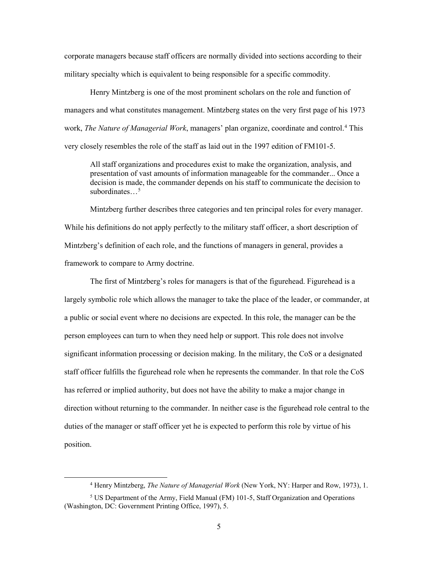corporate managers because staff officers are normally divided into sections according to their military specialty which is equivalent to being responsible for a specific commodity.

Henry Mintzberg is one of the most prominent scholars on the role and function of managers and what constitutes management. Mintzberg states on the very first page of his 1973 work, *The Nature of Managerial Work*, managers' plan organize, coordinate and control. [4](#page-12-0) This very closely resembles the role of the staff as laid out in the 1997 edition of FM101-5.

All staff organizations and procedures exist to make the organization, analysis, and presentation of vast amounts of information manageable for the commander... Once a decision is made, the commander depends on his staff to communicate the decision to subordinates…<sup>[5](#page-12-1)</sup>

Mintzberg further describes three categories and ten principal roles for every manager. While his definitions do not apply perfectly to the military staff officer, a short description of Mintzberg's definition of each role, and the functions of managers in general, provides a framework to compare to Army doctrine.

The first of Mintzberg's roles for managers is that of the figurehead. Figurehead is a largely symbolic role which allows the manager to take the place of the leader, or commander, at a public or social event where no decisions are expected. In this role, the manager can be the person employees can turn to when they need help or support. This role does not involve significant information processing or decision making. In the military, the CoS or a designated staff officer fulfills the figurehead role when he represents the commander. In that role the CoS has referred or implied authority, but does not have the ability to make a major change in direction without returning to the commander. In neither case is the figurehead role central to the duties of the manager or staff officer yet he is expected to perform this role by virtue of his position.

 <sup>4</sup> Henry Mintzberg, *The Nature of Managerial Work* (New York, NY: Harper and Row, 1973), 1.

<span id="page-12-1"></span><span id="page-12-0"></span><sup>&</sup>lt;sup>5</sup> US Department of the Army, Field Manual (FM) 101-5, Staff Organization and Operations (Washington, DC: Government Printing Office, 1997), 5.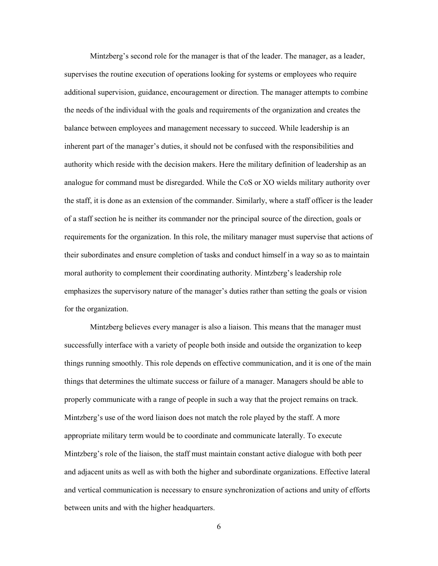Mintzberg's second role for the manager is that of the leader. The manager, as a leader, supervises the routine execution of operations looking for systems or employees who require additional supervision, guidance, encouragement or direction. The manager attempts to combine the needs of the individual with the goals and requirements of the organization and creates the balance between employees and management necessary to succeed. While leadership is an inherent part of the manager's duties, it should not be confused with the responsibilities and authority which reside with the decision makers. Here the military definition of leadership as an analogue for command must be disregarded. While the CoS or XO wields military authority over the staff, it is done as an extension of the commander. Similarly, where a staff officer is the leader of a staff section he is neither its commander nor the principal source of the direction, goals or requirements for the organization. In this role, the military manager must supervise that actions of their subordinates and ensure completion of tasks and conduct himself in a way so as to maintain moral authority to complement their coordinating authority. Mintzberg's leadership role emphasizes the supervisory nature of the manager's duties rather than setting the goals or vision for the organization.

Mintzberg believes every manager is also a liaison. This means that the manager must successfully interface with a variety of people both inside and outside the organization to keep things running smoothly. This role depends on effective communication, and it is one of the main things that determines the ultimate success or failure of a manager. Managers should be able to properly communicate with a range of people in such a way that the project remains on track. Mintzberg's use of the word liaison does not match the role played by the staff. A more appropriate military term would be to coordinate and communicate laterally. To execute Mintzberg's role of the liaison, the staff must maintain constant active dialogue with both peer and adjacent units as well as with both the higher and subordinate organizations. Effective lateral and vertical communication is necessary to ensure synchronization of actions and unity of efforts between units and with the higher headquarters.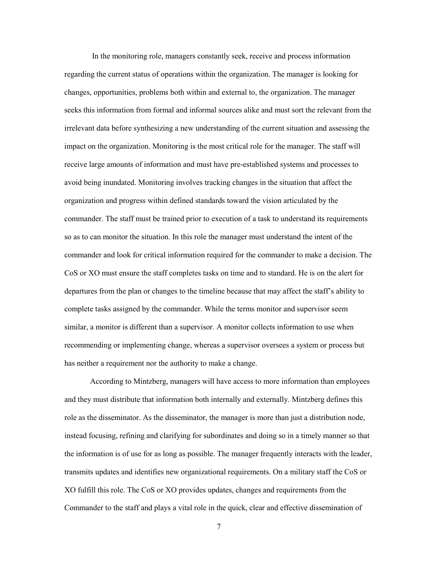In the monitoring role, managers constantly seek, receive and process information regarding the current status of operations within the organization. The manager is looking for changes, opportunities, problems both within and external to, the organization. The manager seeks this information from formal and informal sources alike and must sort the relevant from the irrelevant data before synthesizing a new understanding of the current situation and assessing the impact on the organization. Monitoring is the most critical role for the manager. The staff will receive large amounts of information and must have pre-established systems and processes to avoid being inundated. Monitoring involves tracking changes in the situation that affect the organization and progress within defined standards toward the vision articulated by the commander. The staff must be trained prior to execution of a task to understand its requirements so as to can monitor the situation. In this role the manager must understand the intent of the commander and look for critical information required for the commander to make a decision. The CoS or XO must ensure the staff completes tasks on time and to standard. He is on the alert for departures from the plan or changes to the timeline because that may affect the staff's ability to complete tasks assigned by the commander. While the terms monitor and supervisor seem similar, a monitor is different than a supervisor. A monitor collects information to use when recommending or implementing change, whereas a supervisor oversees a system or process but has neither a requirement nor the authority to make a change.

According to Mintzberg, managers will have access to more information than employees and they must distribute that information both internally and externally. Mintzberg defines this role as the disseminator. As the disseminator, the manager is more than just a distribution node, instead focusing, refining and clarifying for subordinates and doing so in a timely manner so that the information is of use for as long as possible. The manager frequently interacts with the leader, transmits updates and identifies new organizational requirements. On a military staff the CoS or XO fulfill this role. The CoS or XO provides updates, changes and requirements from the Commander to the staff and plays a vital role in the quick, clear and effective dissemination of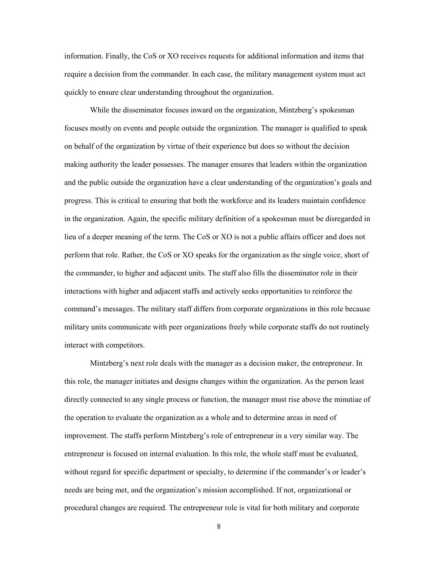information. Finally, the CoS or XO receives requests for additional information and items that require a decision from the commander. In each case, the military management system must act quickly to ensure clear understanding throughout the organization.

While the disseminator focuses inward on the organization, Mintzberg's spokesman focuses mostly on events and people outside the organization. The manager is qualified to speak on behalf of the organization by virtue of their experience but does so without the decision making authority the leader possesses. The manager ensures that leaders within the organization and the public outside the organization have a clear understanding of the organization's goals and progress. This is critical to ensuring that both the workforce and its leaders maintain confidence in the organization. Again, the specific military definition of a spokesman must be disregarded in lieu of a deeper meaning of the term. The CoS or XO is not a public affairs officer and does not perform that role. Rather, the CoS or XO speaks for the organization as the single voice, short of the commander, to higher and adjacent units. The staff also fills the disseminator role in their interactions with higher and adjacent staffs and actively seeks opportunities to reinforce the command's messages. The military staff differs from corporate organizations in this role because military units communicate with peer organizations freely while corporate staffs do not routinely interact with competitors.

Mintzberg's next role deals with the manager as a decision maker, the entrepreneur. In this role, the manager initiates and designs changes within the organization. As the person least directly connected to any single process or function, the manager must rise above the minutiae of the operation to evaluate the organization as a whole and to determine areas in need of improvement. The staffs perform Mintzberg's role of entrepreneur in a very similar way. The entrepreneur is focused on internal evaluation. In this role, the whole staff must be evaluated, without regard for specific department or specialty, to determine if the commander's or leader's needs are being met, and the organization's mission accomplished. If not, organizational or procedural changes are required. The entrepreneur role is vital for both military and corporate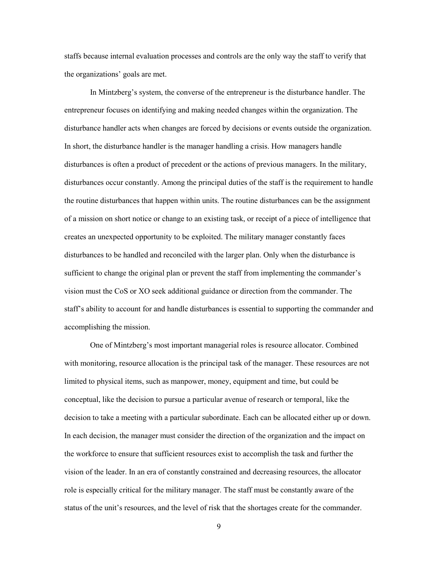staffs because internal evaluation processes and controls are the only way the staff to verify that the organizations' goals are met.

In Mintzberg's system, the converse of the entrepreneur is the disturbance handler. The entrepreneur focuses on identifying and making needed changes within the organization. The disturbance handler acts when changes are forced by decisions or events outside the organization. In short, the disturbance handler is the manager handling a crisis. How managers handle disturbances is often a product of precedent or the actions of previous managers. In the military, disturbances occur constantly. Among the principal duties of the staff is the requirement to handle the routine disturbances that happen within units. The routine disturbances can be the assignment of a mission on short notice or change to an existing task, or receipt of a piece of intelligence that creates an unexpected opportunity to be exploited. The military manager constantly faces disturbances to be handled and reconciled with the larger plan. Only when the disturbance is sufficient to change the original plan or prevent the staff from implementing the commander's vision must the CoS or XO seek additional guidance or direction from the commander. The staff's ability to account for and handle disturbances is essential to supporting the commander and accomplishing the mission.

One of Mintzberg's most important managerial roles is resource allocator. Combined with monitoring, resource allocation is the principal task of the manager. These resources are not limited to physical items, such as manpower, money, equipment and time, but could be conceptual, like the decision to pursue a particular avenue of research or temporal, like the decision to take a meeting with a particular subordinate. Each can be allocated either up or down. In each decision, the manager must consider the direction of the organization and the impact on the workforce to ensure that sufficient resources exist to accomplish the task and further the vision of the leader. In an era of constantly constrained and decreasing resources, the allocator role is especially critical for the military manager. The staff must be constantly aware of the status of the unit's resources, and the level of risk that the shortages create for the commander.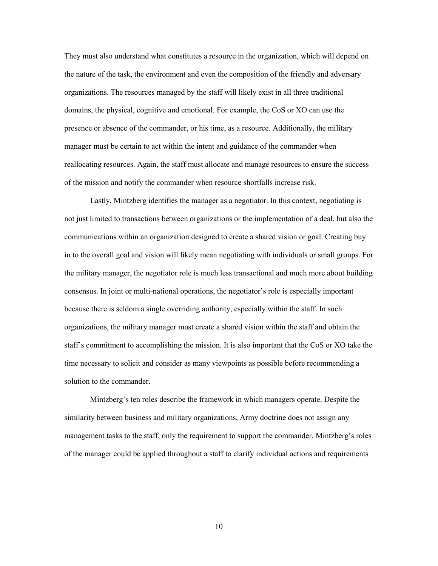They must also understand what constitutes a resource in the organization, which will depend on the nature of the task, the environment and even the composition of the friendly and adversary organizations. The resources managed by the staff will likely exist in all three traditional domains, the physical, cognitive and emotional. For example, the CoS or XO can use the presence or absence of the commander, or his time, as a resource. Additionally, the military manager must be certain to act within the intent and guidance of the commander when reallocating resources. Again, the staff must allocate and manage resources to ensure the success of the mission and notify the commander when resource shortfalls increase risk.

Lastly, Mintzberg identifies the manager as a negotiator. In this context, negotiating is not just limited to transactions between organizations or the implementation of a deal, but also the communications within an organization designed to create a shared vision or goal. Creating buy in to the overall goal and vision will likely mean negotiating with individuals or small groups. For the military manager, the negotiator role is much less transactional and much more about building consensus. In joint or multi-national operations, the negotiator's role is especially important because there is seldom a single overriding authority, especially within the staff. In such organizations, the military manager must create a shared vision within the staff and obtain the staff's commitment to accomplishing the mission. It is also important that the CoS or XO take the time necessary to solicit and consider as many viewpoints as possible before recommending a solution to the commander.

Mintzberg's ten roles describe the framework in which managers operate. Despite the similarity between business and military organizations, Army doctrine does not assign any management tasks to the staff, only the requirement to support the commander. Mintzberg's roles of the manager could be applied throughout a staff to clarify individual actions and requirements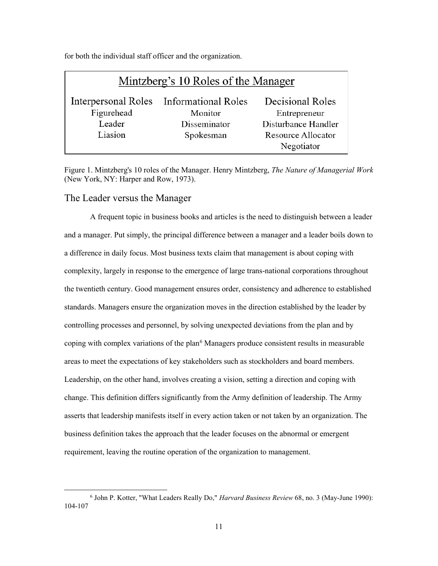| Mintzberg's 10 Roles of the Manager |                                                    |                                  |  |  |
|-------------------------------------|----------------------------------------------------|----------------------------------|--|--|
| Figurehead                          | Interpersonal Roles Informational Roles<br>Monitor | Decisional Roles<br>Entrepreneur |  |  |
| Leader                              | Disseminator                                       | Disturbance Handler              |  |  |
| Liasion                             | Spokesman                                          | Resource Allocator<br>Negotiator |  |  |

for both the individual staff officer and the organization.

<span id="page-18-1"></span>Figure 1. Mintzberg's 10 roles of the Manager. Henry Mintzberg, *The Nature of Managerial Work* (New York, NY: Harper and Row, 1973).

#### <span id="page-18-0"></span>The Leader versus the Manager

A frequent topic in business books and articles is the need to distinguish between a leader and a manager. Put simply, the principal difference between a manager and a leader boils down to a difference in daily focus. Most business texts claim that management is about coping with complexity, largely in response to the emergence of large trans-national corporations throughout the twentieth century. Good management ensures order, consistency and adherence to established standards. Managers ensure the organization moves in the direction established by the leader by controlling processes and personnel, by solving unexpected deviations from the plan and by coping with complex variations of the plan $\delta$  Managers produce consistent results in measurable areas to meet the expectations of key stakeholders such as stockholders and board members. Leadership, on the other hand, involves creating a vision, setting a direction and coping with change. This definition differs significantly from the Army definition of leadership. The Army asserts that leadership manifests itself in every action taken or not taken by an organization. The business definition takes the approach that the leader focuses on the abnormal or emergent requirement, leaving the routine operation of the organization to management.

<span id="page-18-2"></span> <sup>6</sup> John P. Kotter, "What Leaders Really Do," *Harvard Business Review* 68, no. 3 (May-June 1990): 104-107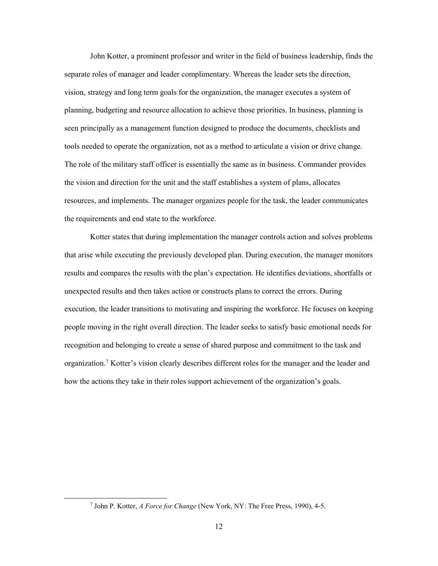John Kotter, a prominent professor and writer in the field of business leadership, finds the separate roles of manager and leader complimentary. Whereas the leader sets the direction, vision, strategy and long term goals for the organization, the manager executes a system of planning, budgeting and resource allocation to achieve those priorities. In business, planning is seen principally as a management function designed to produce the documents, checklists and tools needed to operate the organization, not as a method to articulate a vision or drive change. The role of the military staff officer is essentially the same as in business. Commander provides the vision and direction for the unit and the staff establishes a system of plans, allocates resources, and implements. The manager organizes people for the task, the leader communicates the requirements and end state to the workforce.

Kotter states that during implementation the manager controls action and solves problems that arise while executing the previously developed plan. During execution, the manager monitors results and compares the results with the plan's expectation. He identifies deviations, shortfalls or unexpected results and then takes action or constructs plans to correct the errors. During execution, the leader transitions to motivating and inspiring the workforce. He focuses on keeping people moving in the right overall direction. The leader seeks to satisfy basic emotional needs for recognition and belonging to create a sense of shared purpose and commitment to the task and organization.[7](#page-19-0) Kotter's vision clearly describes different roles for the manager and the leader and how the actions they take in their roles support achievement of the organization's goals.

<span id="page-19-0"></span> <sup>7</sup> John P. Kotter, *<sup>A</sup> Force for Change* (New York, NY: The Free Press, 1990), 4-5.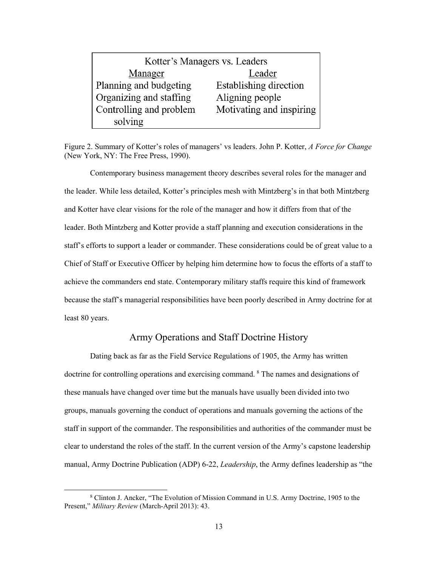| Kotter's Managers vs. Leaders |                          |  |  |  |
|-------------------------------|--------------------------|--|--|--|
| Manager                       | Leader                   |  |  |  |
| Planning and budgeting        | Establishing direction   |  |  |  |
| Organizing and staffing       | Aligning people          |  |  |  |
| Controlling and problem       | Motivating and inspiring |  |  |  |
| solving                       |                          |  |  |  |

<span id="page-20-1"></span>Figure 2. Summary of Kotter's roles of managers' vs leaders. John P. Kotter, *A Force for Change* (New York, NY: The Free Press, 1990).

Contemporary business management theory describes several roles for the manager and the leader. While less detailed, Kotter's principles mesh with Mintzberg's in that both Mintzberg and Kotter have clear visions for the role of the manager and how it differs from that of the leader. Both Mintzberg and Kotter provide a staff planning and execution considerations in the staff's efforts to support a leader or commander. These considerations could be of great value to a Chief of Staff or Executive Officer by helping him determine how to focus the efforts of a staff to achieve the commanders end state. Contemporary military staffs require this kind of framework because the staff's managerial responsibilities have been poorly described in Army doctrine for at least 80 years.

### Army Operations and Staff Doctrine History

<span id="page-20-0"></span>Dating back as far as the Field Service Regulations of 1905, the Army has written doctrine for controlling operations and exercising command. <sup>[8](#page-20-2)</sup> The names and designations of these manuals have changed over time but the manuals have usually been divided into two groups, manuals governing the conduct of operations and manuals governing the actions of the staff in support of the commander. The responsibilities and authorities of the commander must be clear to understand the roles of the staff. In the current version of the Army's capstone leadership manual, Army Doctrine Publication (ADP) 6-22, *Leadership*, the Army defines leadership as "the

<span id="page-20-2"></span> <sup>8</sup> Clinton J. Ancker, "The Evolution of Mission Command in U.S. Army Doctrine, 1905 to the Present," *Military Review* (March-April 2013): 43.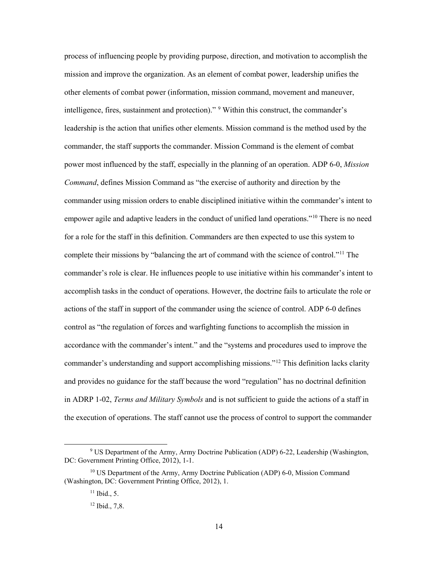process of influencing people by providing purpose, direction, and motivation to accomplish the mission and improve the organization. As an element of combat power, leadership unifies the other elements of combat power (information, mission command, movement and maneuver, intelligence, fires, sustainment and protection)." [9](#page-21-0) Within this construct, the commander's leadership is the action that unifies other elements. Mission command is the method used by the commander, the staff supports the commander. Mission Command is the element of combat power most influenced by the staff, especially in the planning of an operation. ADP 6-0, *Mission Command*, defines Mission Command as "the exercise of authority and direction by the commander using mission orders to enable disciplined initiative within the commander's intent to empower agile and adaptive leaders in the conduct of unified land operations."<sup>[10](#page-21-1)</sup> There is no need for a role for the staff in this definition. Commanders are then expected to use this system to complete their missions by "balancing the art of command with the science of control."[11](#page-21-2) The commander's role is clear. He influences people to use initiative within his commander's intent to accomplish tasks in the conduct of operations. However, the doctrine fails to articulate the role or actions of the staff in support of the commander using the science of control. ADP 6-0 defines control as "the regulation of forces and warfighting functions to accomplish the mission in accordance with the commander's intent." and the "systems and procedures used to improve the commander's understanding and support accomplishing missions."[12](#page-21-3) This definition lacks clarity and provides no guidance for the staff because the word "regulation" has no doctrinal definition in ADRP 1-02, *Terms and Military Symbols* and is not sufficient to guide the actions of a staff in the execution of operations. The staff cannot use the process of control to support the commander

<span id="page-21-0"></span> <sup>9</sup> US Department of the Army, Army Doctrine Publication (ADP) 6-22, Leadership (Washington, DC: Government Printing Office, 2012), 1-1.

<span id="page-21-3"></span><span id="page-21-2"></span><span id="page-21-1"></span><sup>&</sup>lt;sup>10</sup> US Department of the Army, Army Doctrine Publication (ADP) 6-0, Mission Command (Washington, DC: Government Printing Office, 2012), 1.

 $11$  Ibid., 5.

<sup>12</sup> Ibid., 7,8.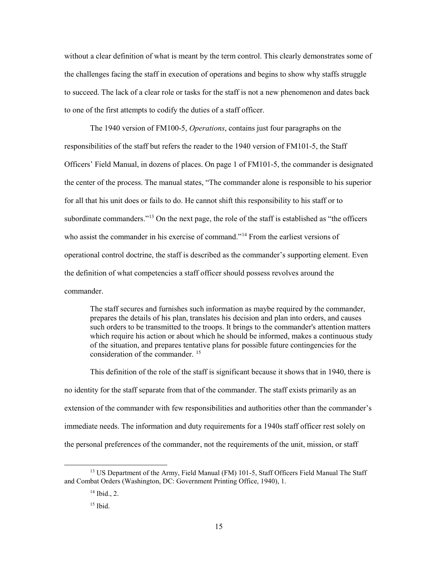without a clear definition of what is meant by the term control. This clearly demonstrates some of the challenges facing the staff in execution of operations and begins to show why staffs struggle to succeed. The lack of a clear role or tasks for the staff is not a new phenomenon and dates back to one of the first attempts to codify the duties of a staff officer.

The 1940 version of FM100-5, *Operations*, contains just four paragraphs on the responsibilities of the staff but refers the reader to the 1940 version of FM101-5, the Staff Officers' Field Manual, in dozens of places. On page 1 of FM101-5, the commander is designated the center of the process. The manual states, "The commander alone is responsible to his superior for all that his unit does or fails to do. He cannot shift this responsibility to his staff or to subordinate commanders."<sup>13</sup> On the next page, the role of the staff is established as "the officers" who assist the commander in his exercise of command."[14](#page-22-1) From the earliest versions of operational control doctrine, the staff is described as the commander's supporting element. Even the definition of what competencies a staff officer should possess revolves around the commander.

The staff secures and furnishes such information as maybe required by the commander, prepares the details of his plan, translates his decision and plan into orders, and causes such orders to be transmitted to the troops. It brings to the commander's attention matters which require his action or about which he should be informed, makes a continuous study of the situation, and prepares tentative plans for possible future contingencies for the consideration of the commander. [15](#page-22-2)

This definition of the role of the staff is significant because it shows that in 1940, there is no identity for the staff separate from that of the commander. The staff exists primarily as an extension of the commander with few responsibilities and authorities other than the commander's immediate needs. The information and duty requirements for a 1940s staff officer rest solely on the personal preferences of the commander, not the requirements of the unit, mission, or staff

<span id="page-22-2"></span><span id="page-22-1"></span><span id="page-22-0"></span><sup>&</sup>lt;sup>13</sup> US Department of the Army, Field Manual (FM) 101-5, Staff Officers Field Manual The Staff and Combat Orders (Washington, DC: Government Printing Office, 1940), 1.

 $14$  Ibid., 2.

 $15$  Ibid.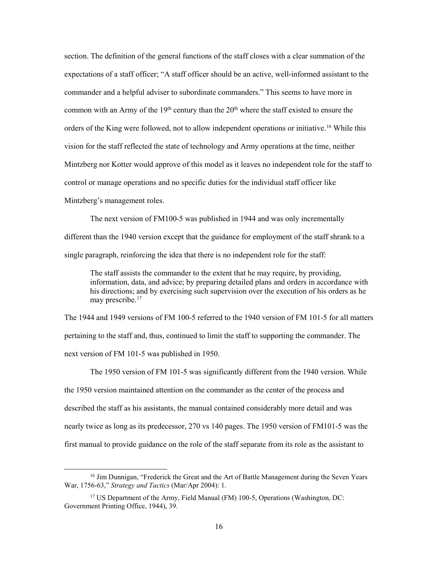section. The definition of the general functions of the staff closes with a clear summation of the expectations of a staff officer; "A staff officer should be an active, well-informed assistant to the commander and a helpful adviser to subordinate commanders." This seems to have more in common with an Army of the  $19<sup>th</sup>$  century than the  $20<sup>th</sup>$  where the staff existed to ensure the orders of the King were followed, not to allow independent operations or initiative.<sup>16</sup> While this vision for the staff reflected the state of technology and Army operations at the time, neither Mintzberg nor Kotter would approve of this model as it leaves no independent role for the staff to control or manage operations and no specific duties for the individual staff officer like Mintzberg's management roles.

The next version of FM100-5 was published in 1944 and was only incrementally different than the 1940 version except that the guidance for employment of the staff shrank to a single paragraph, reinforcing the idea that there is no independent role for the staff:

The staff assists the commander to the extent that he may require, by providing, information, data, and advice; by preparing detailed plans and orders in accordance with his directions; and by exercising such supervision over the execution of his orders as he may prescribe.<sup>[17](#page-23-1)</sup>

The 1944 and 1949 versions of FM 100-5 referred to the 1940 version of FM 101-5 for all matters pertaining to the staff and, thus, continued to limit the staff to supporting the commander. The next version of FM 101-5 was published in 1950.

The 1950 version of FM 101-5 was significantly different from the 1940 version. While the 1950 version maintained attention on the commander as the center of the process and described the staff as his assistants, the manual contained considerably more detail and was nearly twice as long as its predecessor, 270 vs 140 pages. The 1950 version of FM101-5 was the first manual to provide guidance on the role of the staff separate from its role as the assistant to

<span id="page-23-0"></span><sup>&</sup>lt;sup>16</sup> Jim Dunnigan, "Frederick the Great and the Art of Battle Management during the Seven Years War, 1756-63," *Strategy and Tactics* (Mar/Apr 2004): 1.

<span id="page-23-1"></span><sup>&</sup>lt;sup>17</sup> US Department of the Army, Field Manual (FM) 100-5, Operations (Washington, DC: Government Printing Office, 1944), 39.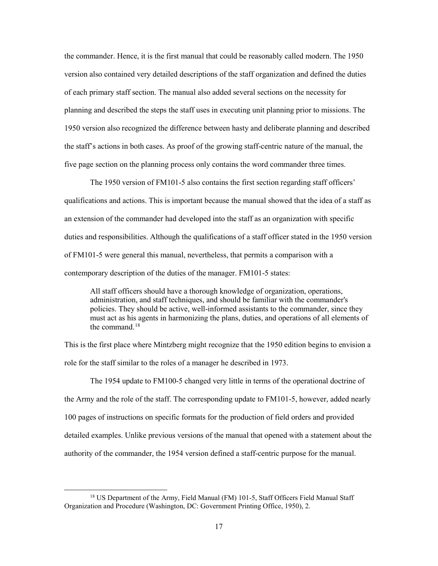the commander. Hence, it is the first manual that could be reasonably called modern. The 1950 version also contained very detailed descriptions of the staff organization and defined the duties of each primary staff section. The manual also added several sections on the necessity for planning and described the steps the staff uses in executing unit planning prior to missions. The 1950 version also recognized the difference between hasty and deliberate planning and described the staff's actions in both cases. As proof of the growing staff-centric nature of the manual, the five page section on the planning process only contains the word commander three times.

The 1950 version of FM101-5 also contains the first section regarding staff officers' qualifications and actions. This is important because the manual showed that the idea of a staff as an extension of the commander had developed into the staff as an organization with specific duties and responsibilities. Although the qualifications of a staff officer stated in the 1950 version of FM101-5 were general this manual, nevertheless, that permits a comparison with a contemporary description of the duties of the manager. FM101-5 states:

All staff officers should have a thorough knowledge of organization, operations, administration, and staff techniques, and should be familiar with the commander's policies. They should be active, well-informed assistants to the commander, since they must act as his agents in harmonizing the plans, duties, and operations of all elements of the command.[18](#page-24-0)

This is the first place where Mintzberg might recognize that the 1950 edition begins to envision a role for the staff similar to the roles of a manager he described in 1973.

The 1954 update to FM100-5 changed very little in terms of the operational doctrine of the Army and the role of the staff. The corresponding update to FM101-5, however, added nearly 100 pages of instructions on specific formats for the production of field orders and provided detailed examples. Unlike previous versions of the manual that opened with a statement about the authority of the commander, the 1954 version defined a staff-centric purpose for the manual.

<span id="page-24-0"></span><sup>&</sup>lt;sup>18</sup> US Department of the Army, Field Manual (FM) 101-5, Staff Officers Field Manual Staff Organization and Procedure (Washington, DC: Government Printing Office, 1950), 2.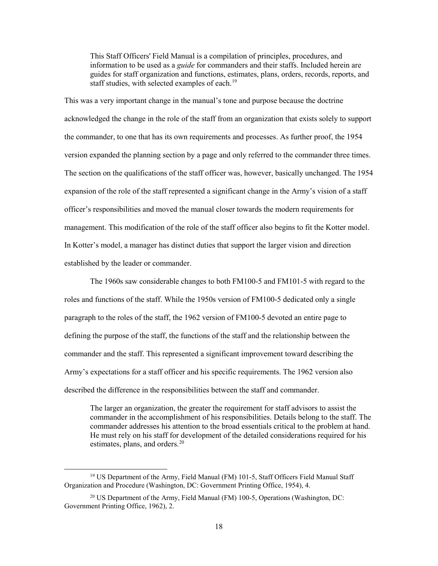This Staff Officers' Field Manual is a compilation of principles, procedures, and information to be used as a *guide* for commanders and their staffs. Included herein are guides for staff organization and functions, estimates, plans, orders, records, reports, and staff studies, with selected examples of each.<sup>19</sup>

This was a very important change in the manual's tone and purpose because the doctrine acknowledged the change in the role of the staff from an organization that exists solely to support the commander, to one that has its own requirements and processes. As further proof, the 1954 version expanded the planning section by a page and only referred to the commander three times. The section on the qualifications of the staff officer was, however, basically unchanged. The 1954 expansion of the role of the staff represented a significant change in the Army's vision of a staff officer's responsibilities and moved the manual closer towards the modern requirements for management. This modification of the role of the staff officer also begins to fit the Kotter model. In Kotter's model, a manager has distinct duties that support the larger vision and direction established by the leader or commander.

The 1960s saw considerable changes to both FM100-5 and FM101-5 with regard to the roles and functions of the staff. While the 1950s version of FM100-5 dedicated only a single paragraph to the roles of the staff, the 1962 version of FM100-5 devoted an entire page to defining the purpose of the staff, the functions of the staff and the relationship between the commander and the staff. This represented a significant improvement toward describing the Army's expectations for a staff officer and his specific requirements. The 1962 version also described the difference in the responsibilities between the staff and commander.

The larger an organization, the greater the requirement for staff advisors to assist the commander in the accomplishment of his responsibilities. Details belong to the staff. The commander addresses his attention to the broad essentials critical to the problem at hand. He must rely on his staff for development of the detailed considerations required for his estimates, plans, and orders.<sup>[20](#page-25-1)</sup>

<span id="page-25-0"></span><sup>&</sup>lt;sup>19</sup> US Department of the Army, Field Manual (FM) 101-5, Staff Officers Field Manual Staff Organization and Procedure (Washington, DC: Government Printing Office, 1954), 4.

<span id="page-25-1"></span><sup>&</sup>lt;sup>20</sup> US Department of the Army, Field Manual (FM) 100-5, Operations (Washington, DC: Government Printing Office, 1962), 2.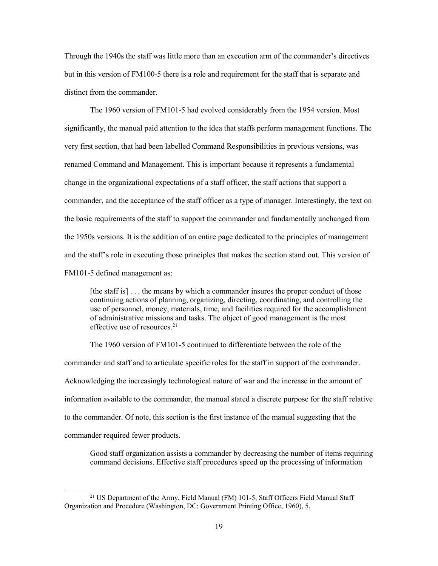Through the 1940s the staff was little more than an execution arm of the commander's directives but in this version of FM100-5 there is a role and requirement for the staff that is separate and distinct from the commander.

The 1960 version of FM101-5 had evolved considerably from the 1954 version. Most significantly, the manual paid attention to the idea that staffs perform management functions. The very first section, that had been labelled Command Responsibilities in previous versions, was renamed Command and Management. This is important because it represents a fundamental change in the organizational expectations of a staff officer, the staff actions that support a commander, and the acceptance of the staff officer as a type of manager. Interestingly, the text on the basic requirements of the staff to support the commander and fundamentally unchanged from the 1950s versions. It is the addition of an entire page dedicated to the principles of management and the staff's role in executing those principles that makes the section stand out. This version of FM101-5 defined management as:

[the staff is] . . . the means by which a commander insures the proper conduct of those continuing actions of planning, organizing, directing, coordinating, and controlling the use of personnel, money, materials, time, and facilities required for the accomplishment of administrative missions and tasks. The object of good management is the most effective use of resources.  $21$ 

The 1960 version of FM101-5 continued to differentiate between the role of the commander and staff and to articulate specific roles for the staff in support of the commander. Acknowledging the increasingly technological nature of war and the increase in the amount of information available to the commander, the manual stated a discrete purpose for the staff relative to the commander. Of note, this section is the first instance of the manual suggesting that the commander required fewer products.

Good staff organization assists a commander by decreasing the number of items requiring command decisions. Effective staff procedures speed up the processing of information

<span id="page-26-0"></span><sup>&</sup>lt;sup>21</sup> US Department of the Army, Field Manual (FM) 101-5, Staff Officers Field Manual Staff Organization and Procedure (Washington, DC: Government Printing Office, 1960), 5.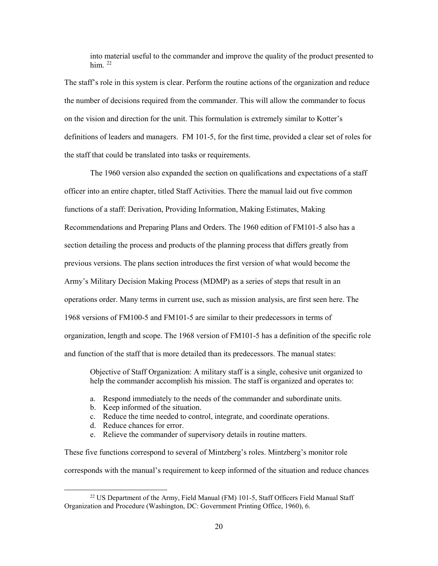into material useful to the commander and improve the quality of the product presented to him<sup>[22](#page-27-0)</sup>

The staff's role in this system is clear. Perform the routine actions of the organization and reduce the number of decisions required from the commander. This will allow the commander to focus on the vision and direction for the unit. This formulation is extremely similar to Kotter's definitions of leaders and managers. FM 101-5, for the first time, provided a clear set of roles for the staff that could be translated into tasks or requirements.

The 1960 version also expanded the section on qualifications and expectations of a staff officer into an entire chapter, titled Staff Activities. There the manual laid out five common functions of a staff: Derivation, Providing Information, Making Estimates, Making Recommendations and Preparing Plans and Orders. The 1960 edition of FM101-5 also has a section detailing the process and products of the planning process that differs greatly from previous versions. The plans section introduces the first version of what would become the Army's Military Decision Making Process (MDMP) as a series of steps that result in an operations order. Many terms in current use, such as mission analysis, are first seen here. The 1968 versions of FM100-5 and FM101-5 are similar to their predecessors in terms of organization, length and scope. The 1968 version of FM101-5 has a definition of the specific role and function of the staff that is more detailed than its predecessors. The manual states:

Objective of Staff Organization: A military staff is a single, cohesive unit organized to help the commander accomplish his mission. The staff is organized and operates to:

- a. Respond immediately to the needs of the commander and subordinate units.
- b. Keep informed of the situation.
- c. Reduce the time needed to control, integrate, and coordinate operations.
- d. Reduce chances for error.
- e. Relieve the commander of supervisory details in routine matters.

These five functions correspond to several of Mintzberg's roles. Mintzberg's monitor role corresponds with the manual's requirement to keep informed of the situation and reduce chances

<span id="page-27-0"></span><sup>&</sup>lt;sup>22</sup> US Department of the Army, Field Manual (FM) 101-5, Staff Officers Field Manual Staff Organization and Procedure (Washington, DC: Government Printing Office, 1960), 6.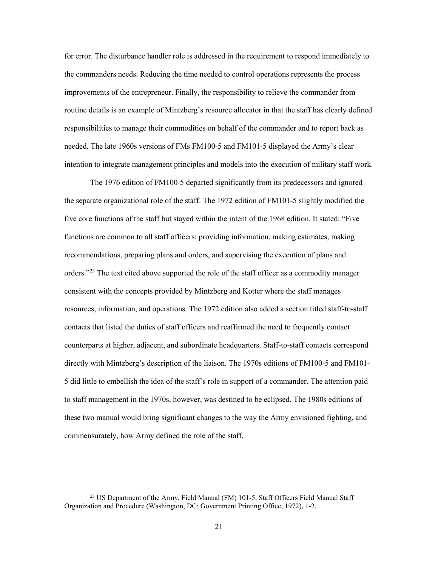for error. The disturbance handler role is addressed in the requirement to respond immediately to the commanders needs. Reducing the time needed to control operations represents the process improvements of the entrepreneur. Finally, the responsibility to relieve the commander from routine details is an example of Mintzberg's resource allocator in that the staff has clearly defined responsibilities to manage their commodities on behalf of the commander and to report back as needed. The late 1960s versions of FMs FM100-5 and FM101-5 displayed the Army's clear intention to integrate management principles and models into the execution of military staff work.

The 1976 edition of FM100-5 departed significantly from its predecessors and ignored the separate organizational role of the staff. The 1972 edition of FM101-5 slightly modified the five core functions of the staff but stayed within the intent of the 1968 edition. It stated: "Five functions are common to all staff officers: providing information, making estimates, making recommendations, preparing plans and orders, and supervising the execution of plans and orders."[23](#page-28-0) The text cited above supported the role of the staff officer as a commodity manager consistent with the concepts provided by Mintzberg and Kotter where the staff manages resources, information, and operations. The 1972 edition also added a section titled staff-to-staff contacts that listed the duties of staff officers and reaffirmed the need to frequently contact counterparts at higher, adjacent, and subordinate headquarters. Staff-to-staff contacts correspond directly with Mintzberg's description of the liaison. The 1970s editions of FM100-5 and FM101- 5 did little to embellish the idea of the staff's role in support of a commander. The attention paid to staff management in the 1970s, however, was destined to be eclipsed. The 1980s editions of these two manual would bring significant changes to the way the Army envisioned fighting, and commensurately, how Army defined the role of the staff.

<span id="page-28-0"></span><sup>&</sup>lt;sup>23</sup> US Department of the Army, Field Manual (FM) 101-5, Staff Officers Field Manual Staff Organization and Procedure (Washington, DC: Government Printing Office, 1972), 1-2.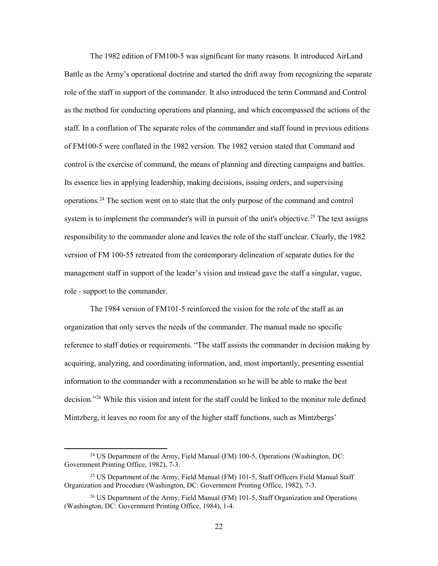The 1982 edition of FM100-5 was significant for many reasons. It introduced AirLand Battle as the Army's operational doctrine and started the drift away from recognizing the separate role of the staff in support of the commander. It also introduced the term Command and Control as the method for conducting operations and planning, and which encompassed the actions of the staff. In a conflation of The separate roles of the commander and staff found in previous editions of FM100-5 were conflated in the 1982 version. The 1982 version stated that Command and control is the exercise of command, the means of planning and directing campaigns and battles. Its essence lies in applying leadership, making decisions, issuing orders, and supervising operations.[24](#page-29-0) The section went on to state that the only purpose of the command and control system is to implement the commander's will in pursuit of the unit's objective.<sup>[25](#page-29-1)</sup> The text assigns responsibility to the commander alone and leaves the role of the staff unclear. Clearly, the 1982 version of FM 100-55 retreated from the contemporary delineation of separate duties for the management staff in support of the leader's vision and instead gave the staff a singular, vague, role - support to the commander.

The 1984 version of FM101-5 reinforced the vision for the role of the staff as an organization that only serves the needs of the commander. The manual made no specific reference to staff duties or requirements. "The staff assists the commander in decision making by acquiring, analyzing, and coordinating information, and, most importantly, presenting essential information to the commander with a recommendation so he will be able to make the best decision."[26](#page-29-2) While this vision and intent for the staff could be linked to the monitor role defined Mintzberg, it leaves no room for any of the higher staff functions, such as Mintzbergs'

<span id="page-29-0"></span><sup>&</sup>lt;sup>24</sup> US Department of the Army, Field Manual (FM) 100-5, Operations (Washington, DC: Government Printing Office, 1982), 7-3.

<span id="page-29-1"></span><sup>&</sup>lt;sup>25</sup> US Department of the Army, Field Manual (FM) 101-5, Staff Officers Field Manual Staff Organization and Procedure (Washington, DC: Government Printing Office, 1982), 7-3.

<span id="page-29-2"></span><sup>&</sup>lt;sup>26</sup> US Department of the Army, Field Manual (FM) 101-5, Staff Organization and Operations (Washington, DC: Government Printing Office, 1984), 1-4.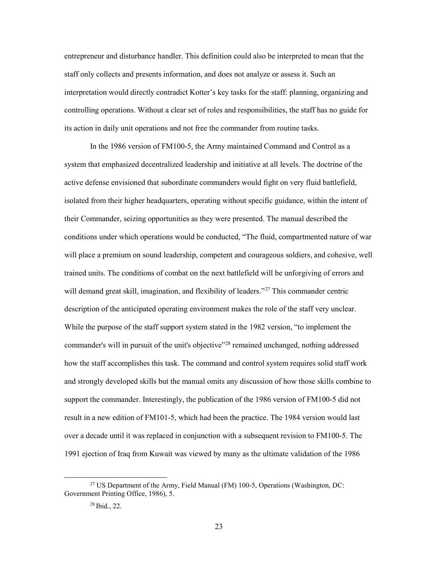entrepreneur and disturbance handler. This definition could also be interpreted to mean that the staff only collects and presents information, and does not analyze or assess it. Such an interpretation would directly contradict Kotter's key tasks for the staff: planning, organizing and controlling operations. Without a clear set of roles and responsibilities, the staff has no guide for its action in daily unit operations and not free the commander from routine tasks.

In the 1986 version of FM100-5, the Army maintained Command and Control as a system that emphasized decentralized leadership and initiative at all levels. The doctrine of the active defense envisioned that subordinate commanders would fight on very fluid battlefield, isolated from their higher headquarters, operating without specific guidance, within the intent of their Commander, seizing opportunities as they were presented. The manual described the conditions under which operations would be conducted, "The fluid, compartmented nature of war will place a premium on sound leadership, competent and courageous soldiers, and cohesive, well trained units. The conditions of combat on the next battlefield will be unforgiving of errors and will demand great skill, imagination, and flexibility of leaders."<sup>[27](#page-30-0)</sup> This commander centric description of the anticipated operating environment makes the role of the staff very unclear. While the purpose of the staff support system stated in the 1982 version, "to implement the commander's will in pursuit of the unit's objective<sup>"[28](#page-30-1)</sup> remained unchanged, nothing addressed how the staff accomplishes this task. The command and control system requires solid staff work and strongly developed skills but the manual omits any discussion of how those skills combine to support the commander. Interestingly, the publication of the 1986 version of FM100-5 did not result in a new edition of FM101-5, which had been the practice. The 1984 version would last over a decade until it was replaced in conjunction with a subsequent revision to FM100-5. The 1991 ejection of Iraq from Kuwait was viewed by many as the ultimate validation of the 1986

<span id="page-30-1"></span><span id="page-30-0"></span><sup>&</sup>lt;sup>27</sup> US Department of the Army, Field Manual (FM) 100-5, Operations (Washington, DC: Government Printing Office, 1986), 5.

<sup>28</sup> Ibid., 22.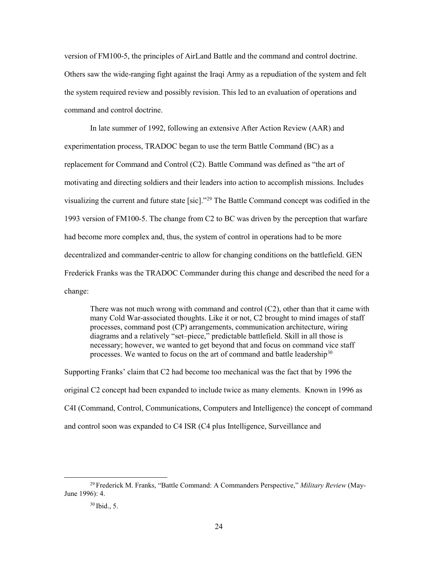version of FM100-5, the principles of AirLand Battle and the command and control doctrine. Others saw the wide-ranging fight against the Iraqi Army as a repudiation of the system and felt the system required review and possibly revision. This led to an evaluation of operations and command and control doctrine.

In late summer of 1992, following an extensive After Action Review (AAR) and experimentation process, TRADOC began to use the term Battle Command (BC) as a replacement for Command and Control (C2). Battle Command was defined as "the art of motivating and directing soldiers and their leaders into action to accomplish missions. Includes visualizing the current and future state [sic]."[29](#page-31-0) The Battle Command concept was codified in the 1993 version of FM100-5. The change from C2 to BC was driven by the perception that warfare had become more complex and, thus, the system of control in operations had to be more decentralized and commander-centric to allow for changing conditions on the battlefield. GEN Frederick Franks was the TRADOC Commander during this change and described the need for a change:

There was not much wrong with command and control (C2), other than that it came with many Cold War-associated thoughts. Like it or not, C2 brought to mind images of staff processes, command post (CP) arrangements, communication architecture, wiring diagrams and a relatively "set–piece," predictable battlefield. Skill in all those is necessary; however, we wanted to get beyond that and focus on command vice staff processes. We wanted to focus on the art of command and battle leadership $30$ 

Supporting Franks' claim that C2 had become too mechanical was the fact that by 1996 the original C2 concept had been expanded to include twice as many elements. Known in 1996 as C4I (Command, Control, Communications, Computers and Intelligence) the concept of command and control soon was expanded to C4 ISR (C4 plus Intelligence, Surveillance and

<span id="page-31-1"></span><span id="page-31-0"></span> <sup>29</sup> Frederick M. Franks, "Battle Command: A Commanders Perspective," *Military Review* (May-June 1996): 4.

<sup>30</sup> Ibid., 5.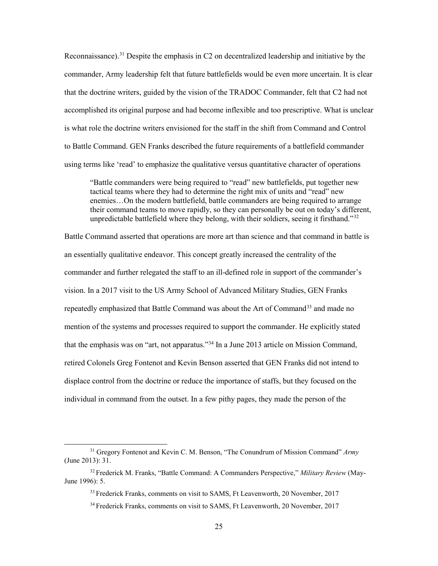Reconnaissance).<sup>[31](#page-32-0)</sup> Despite the emphasis in C2 on decentralized leadership and initiative by the commander, Army leadership felt that future battlefields would be even more uncertain. It is clear that the doctrine writers, guided by the vision of the TRADOC Commander, felt that C2 had not accomplished its original purpose and had become inflexible and too prescriptive. What is unclear is what role the doctrine writers envisioned for the staff in the shift from Command and Control to Battle Command. GEN Franks described the future requirements of a battlefield commander using terms like 'read' to emphasize the qualitative versus quantitative character of operations

"Battle commanders were being required to "read" new battlefields, put together new tactical teams where they had to determine the right mix of units and "read" new enemies…On the modern battlefield, battle commanders are being required to arrange their command teams to move rapidly, so they can personally be out on today's different, unpredictable battlefield where they belong, with their soldiers, seeing it firsthand."<sup>[32](#page-32-1)</sup>

Battle Command asserted that operations are more art than science and that command in battle is an essentially qualitative endeavor. This concept greatly increased the centrality of the commander and further relegated the staff to an ill-defined role in support of the commander's vision. In a 2017 visit to the US Army School of Advanced Military Studies, GEN Franks repeatedly emphasized that Battle Command was about the Art of Command<sup>[33](#page-32-2)</sup> and made no mention of the systems and processes required to support the commander. He explicitly stated that the emphasis was on "art, not apparatus."[34](#page-32-3) In a June 2013 article on Mission Command, retired Colonels Greg Fontenot and Kevin Benson asserted that GEN Franks did not intend to displace control from the doctrine or reduce the importance of staffs, but they focused on the individual in command from the outset. In a few pithy pages, they made the person of the

<span id="page-32-0"></span> <sup>31</sup> Gregory Fontenot and Kevin C. M. Benson, "The Conundrum of Mission Command" *Army* (June 2013): 31.

<span id="page-32-3"></span><span id="page-32-2"></span><span id="page-32-1"></span><sup>32</sup> Frederick M. Franks, "Battle Command: A Commanders Perspective," *Military Review* (May-June 1996): 5.

<sup>&</sup>lt;sup>33</sup> Frederick Franks, comments on visit to SAMS, Ft Leavenworth, 20 November, 2017

<sup>34</sup> Frederick Franks, comments on visit to SAMS, Ft Leavenworth, 20 November, 2017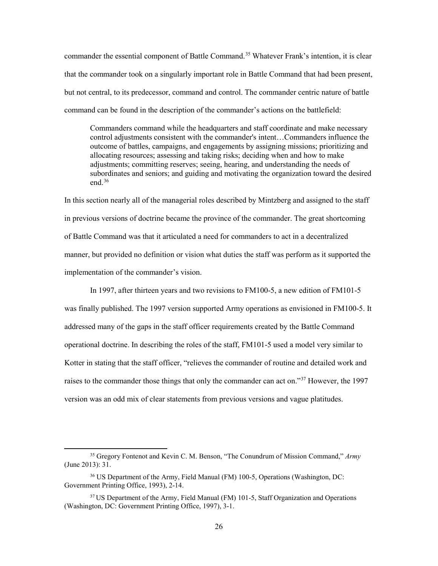commander the essential component of Battle Command. [35](#page-33-0) Whatever Frank's intention, it is clear that the commander took on a singularly important role in Battle Command that had been present, but not central, to its predecessor, command and control. The commander centric nature of battle command can be found in the description of the commander's actions on the battlefield:

Commanders command while the headquarters and staff coordinate and make necessary control adjustments consistent with the commander's intent…Commanders influence the outcome of battles, campaigns, and engagements by assigning missions; prioritizing and allocating resources; assessing and taking risks; deciding when and how to make adjustments; committing reserves; seeing, hearing, and understanding the needs of subordinates and seniors; and guiding and motivating the organization toward the desired end.[36](#page-33-1)

In this section nearly all of the managerial roles described by Mintzberg and assigned to the staff in previous versions of doctrine became the province of the commander. The great shortcoming of Battle Command was that it articulated a need for commanders to act in a decentralized manner, but provided no definition or vision what duties the staff was perform as it supported the implementation of the commander's vision.

In 1997, after thirteen years and two revisions to FM100-5, a new edition of FM101-5 was finally published. The 1997 version supported Army operations as envisioned in FM100-5. It addressed many of the gaps in the staff officer requirements created by the Battle Command operational doctrine. In describing the roles of the staff, FM101-5 used a model very similar to Kotter in stating that the staff officer, "relieves the commander of routine and detailed work and raises to the commander those things that only the commander can act on."<sup>[37](#page-33-2)</sup> However, the 1997 version was an odd mix of clear statements from previous versions and vague platitudes.

<span id="page-33-0"></span> <sup>35</sup> Gregory Fontenot and Kevin C. M. Benson, "The Conundrum of Mission Command," *Army* (June 2013): 31.

<span id="page-33-1"></span><sup>36</sup> US Department of the Army, Field Manual (FM) 100-5, Operations (Washington, DC: Government Printing Office, 1993), 2-14.

<span id="page-33-2"></span><sup>&</sup>lt;sup>37</sup> US Department of the Army, Field Manual (FM) 101-5, Staff Organization and Operations (Washington, DC: Government Printing Office, 1997), 3-1.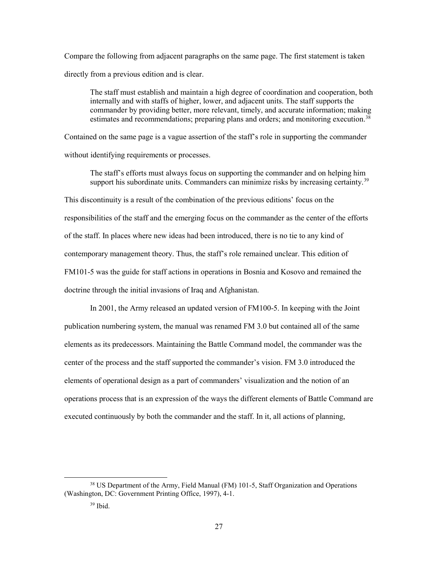Compare the following from adjacent paragraphs on the same page. The first statement is taken directly from a previous edition and is clear.

The staff must establish and maintain a high degree of coordination and cooperation, both internally and with staffs of higher, lower, and adjacent units. The staff supports the commander by providing better, more relevant, timely, and accurate information; making estimates and recommendations; preparing plans and orders; and monitoring execution.<sup>[38](#page-34-0)</sup>

Contained on the same page is a vague assertion of the staff's role in supporting the commander without identifying requirements or processes.

The staff's efforts must always focus on supporting the commander and on helping him support his subordinate units. Commanders can minimize risks by increasing certainty.<sup>[39](#page-34-1)</sup> This discontinuity is a result of the combination of the previous editions' focus on the responsibilities of the staff and the emerging focus on the commander as the center of the efforts of the staff. In places where new ideas had been introduced, there is no tie to any kind of contemporary management theory. Thus, the staff's role remained unclear. This edition of FM101-5 was the guide for staff actions in operations in Bosnia and Kosovo and remained the doctrine through the initial invasions of Iraq and Afghanistan.

In 2001, the Army released an updated version of FM100-5. In keeping with the Joint publication numbering system, the manual was renamed FM 3.0 but contained all of the same elements as its predecessors. Maintaining the Battle Command model, the commander was the center of the process and the staff supported the commander's vision. FM 3.0 introduced the elements of operational design as a part of commanders' visualization and the notion of an operations process that is an expression of the ways the different elements of Battle Command are executed continuously by both the commander and the staff. In it, all actions of planning,

<span id="page-34-1"></span><span id="page-34-0"></span><sup>&</sup>lt;sup>38</sup> US Department of the Army, Field Manual (FM) 101-5, Staff Organization and Operations (Washington, DC: Government Printing Office, 1997), 4-1.

<sup>39</sup> Ibid.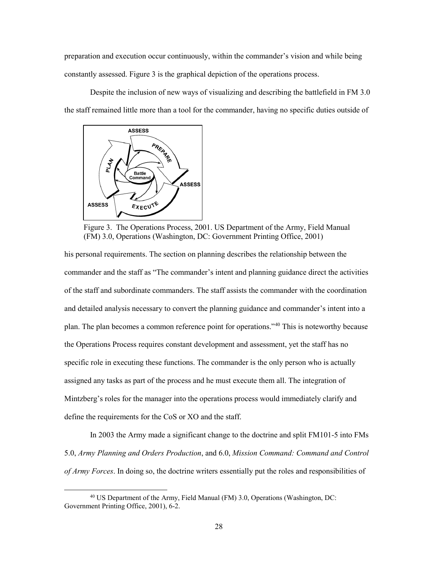preparation and execution occur continuously, within the commander's vision and while being constantly assessed. Figure 3 is the graphical depiction of the operations process.

Despite the inclusion of new ways of visualizing and describing the battlefield in FM 3.0 the staff remained little more than a tool for the commander, having no specific duties outside of



Figure 3. The Operations Process, 2001. US Department of the Army, Field Manual (FM) 3.0, Operations (Washington, DC: Government Printing Office, 2001)

his personal requirements. The section on planning describes the relationship between the commander and the staff as "The commander's intent and planning guidance direct the activities of the staff and subordinate commanders. The staff assists the commander with the coordination and detailed analysis necessary to convert the planning guidance and commander's intent into a plan. The plan becomes a common reference point for operations."[40](#page-35-0) This is noteworthy because the Operations Process requires constant development and assessment, yet the staff has no specific role in executing these functions. The commander is the only person who is actually assigned any tasks as part of the process and he must execute them all. The integration of Mintzberg's roles for the manager into the operations process would immediately clarify and define the requirements for the CoS or XO and the staff.

In 2003 the Army made a significant change to the doctrine and split FM101-5 into FMs 5.0, *Army Planning and Orders Production*, and 6.0, *Mission Command: Command and Control of Army Forces*. In doing so, the doctrine writers essentially put the roles and responsibilities of

<span id="page-35-0"></span> $40$  US Department of the Army, Field Manual (FM) 3.0, Operations (Washington, DC: Government Printing Office, 2001), 6-2.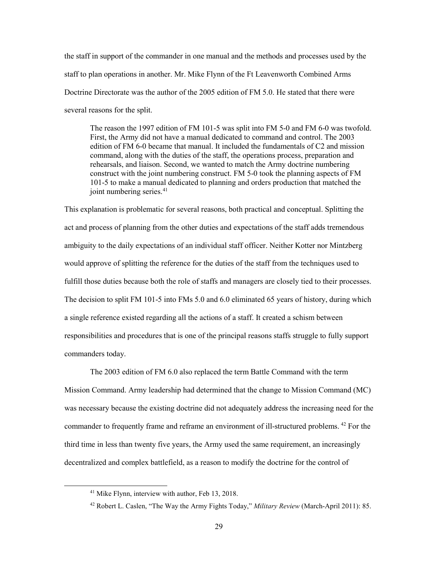the staff in support of the commander in one manual and the methods and processes used by the staff to plan operations in another. Mr. Mike Flynn of the Ft Leavenworth Combined Arms Doctrine Directorate was the author of the 2005 edition of FM 5.0. He stated that there were several reasons for the split.

The reason the 1997 edition of FM 101-5 was split into FM 5-0 and FM 6-0 was twofold. First, the Army did not have a manual dedicated to command and control. The 2003 edition of FM 6-0 became that manual. It included the fundamentals of C2 and mission command, along with the duties of the staff, the operations process, preparation and rehearsals, and liaison. Second, we wanted to match the Army doctrine numbering construct with the joint numbering construct. FM 5-0 took the planning aspects of FM 101-5 to make a manual dedicated to planning and orders production that matched the joint numbering series.<sup>41</sup>

This explanation is problematic for several reasons, both practical and conceptual. Splitting the act and process of planning from the other duties and expectations of the staff adds tremendous ambiguity to the daily expectations of an individual staff officer. Neither Kotter nor Mintzberg would approve of splitting the reference for the duties of the staff from the techniques used to fulfill those duties because both the role of staffs and managers are closely tied to their processes. The decision to split FM 101-5 into FMs 5.0 and 6.0 eliminated 65 years of history, during which a single reference existed regarding all the actions of a staff. It created a schism between responsibilities and procedures that is one of the principal reasons staffs struggle to fully support commanders today.

The 2003 edition of FM 6.0 also replaced the term Battle Command with the term Mission Command. Army leadership had determined that the change to Mission Command (MC) was necessary because the existing doctrine did not adequately address the increasing need for the commander to frequently frame and reframe an environment of ill-structured problems. [42](#page-36-1) For the third time in less than twenty five years, the Army used the same requirement, an increasingly decentralized and complex battlefield, as a reason to modify the doctrine for the control of

<span id="page-36-0"></span><sup>&</sup>lt;sup>41</sup> Mike Flynn, interview with author, Feb 13, 2018.

<span id="page-36-1"></span><sup>42</sup> Robert L. Caslen, "The Way the Army Fights Today," *Military Review* (March-April 2011): 85.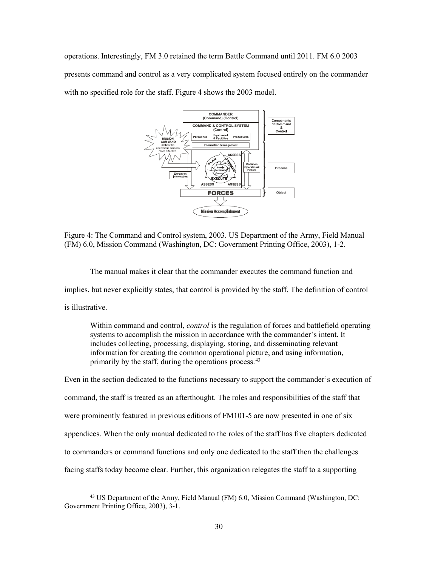operations. Interestingly, FM 3.0 retained the term Battle Command until 2011. FM 6.0 2003 presents command and control as a very complicated system focused entirely on the commander with no specified role for the staff. Figure 4 shows the 2003 model.



<span id="page-37-0"></span>Figure 4: The Command and Control system, 2003. US Department of the Army, Field Manual (FM) 6.0, Mission Command (Washington, DC: Government Printing Office, 2003), 1-2.

The manual makes it clear that the commander executes the command function and implies, but never explicitly states, that control is provided by the staff. The definition of control is illustrative.

Within command and control, *control* is the regulation of forces and battlefield operating systems to accomplish the mission in accordance with the commander's intent. It includes collecting, processing, displaying, storing, and disseminating relevant information for creating the common operational picture, and using information, primarily by the staff, during the operations process.[43](#page-37-1)

Even in the section dedicated to the functions necessary to support the commander's execution of command, the staff is treated as an afterthought. The roles and responsibilities of the staff that were prominently featured in previous editions of FM101-5 are now presented in one of six appendices. When the only manual dedicated to the roles of the staff has five chapters dedicated to commanders or command functions and only one dedicated to the staff then the challenges facing staffs today become clear. Further, this organization relegates the staff to a supporting

<span id="page-37-1"></span><sup>&</sup>lt;sup>43</sup> US Department of the Army, Field Manual (FM) 6.0, Mission Command (Washington, DC: Government Printing Office, 2003), 3-1.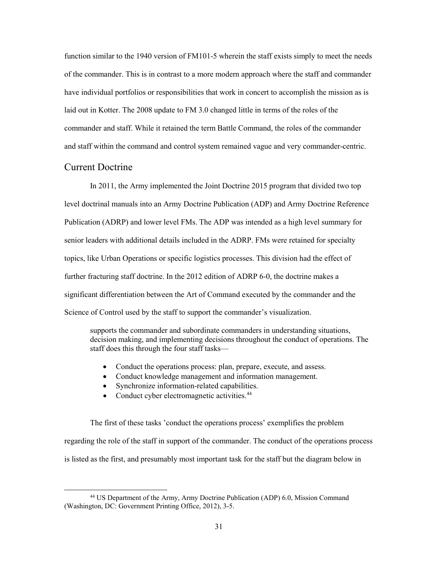function similar to the 1940 version of FM101-5 wherein the staff exists simply to meet the needs of the commander. This is in contrast to a more modern approach where the staff and commander have individual portfolios or responsibilities that work in concert to accomplish the mission as is laid out in Kotter. The 2008 update to FM 3.0 changed little in terms of the roles of the commander and staff. While it retained the term Battle Command, the roles of the commander and staff within the command and control system remained vague and very commander-centric.

#### <span id="page-38-0"></span>Current Doctrine

In 2011, the Army implemented the Joint Doctrine 2015 program that divided two top level doctrinal manuals into an Army Doctrine Publication (ADP) and Army Doctrine Reference Publication (ADRP) and lower level FMs. The ADP was intended as a high level summary for senior leaders with additional details included in the ADRP. FMs were retained for specialty topics, like Urban Operations or specific logistics processes. This division had the effect of further fracturing staff doctrine. In the 2012 edition of ADRP 6-0, the doctrine makes a significant differentiation between the Art of Command executed by the commander and the Science of Control used by the staff to support the commander's visualization.

supports the commander and subordinate commanders in understanding situations, decision making, and implementing decisions throughout the conduct of operations. The staff does this through the four staff tasks—

- Conduct the operations process: plan, prepare, execute, and assess.
- Conduct knowledge management and information management.
- Synchronize information-related capabilities.
- Conduct cyber electromagnetic activities.<sup>[44](#page-38-1)</sup>

The first of these tasks 'conduct the operations process' exemplifies the problem regarding the role of the staff in support of the commander. The conduct of the operations process is listed as the first, and presumably most important task for the staff but the diagram below in

<span id="page-38-1"></span> <sup>44</sup> US Department of the Army, Army Doctrine Publication (ADP) 6.0, Mission Command (Washington, DC: Government Printing Office, 2012), 3-5.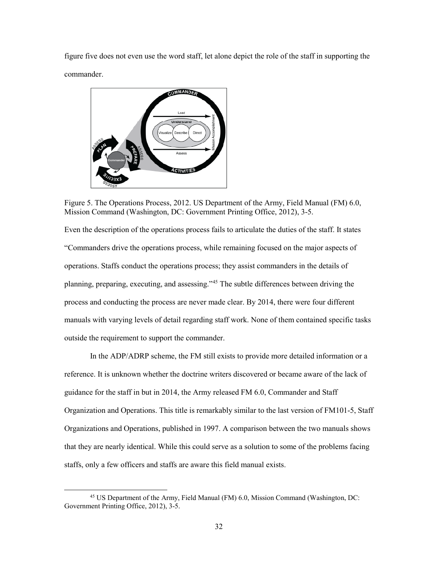figure five does not even use the word staff, let alone depict the role of the staff in supporting the commander.



Figure 5. The Operations Process, 2012. US Department of the Army, Field Manual (FM) 6.0, Mission Command (Washington, DC: Government Printing Office, 2012), 3-5.

<span id="page-39-0"></span>Even the description of the operations process fails to articulate the duties of the staff. It states "Commanders drive the operations process, while remaining focused on the major aspects of operations. Staffs conduct the operations process; they assist commanders in the details of planning, preparing, executing, and assessing."[45](#page-39-1) The subtle differences between driving the process and conducting the process are never made clear. By 2014, there were four different manuals with varying levels of detail regarding staff work. None of them contained specific tasks outside the requirement to support the commander.

In the ADP/ADRP scheme, the FM still exists to provide more detailed information or a reference. It is unknown whether the doctrine writers discovered or became aware of the lack of guidance for the staff in but in 2014, the Army released FM 6.0, Commander and Staff Organization and Operations. This title is remarkably similar to the last version of FM101-5, Staff Organizations and Operations, published in 1997. A comparison between the two manuals shows that they are nearly identical. While this could serve as a solution to some of the problems facing staffs, only a few officers and staffs are aware this field manual exists.

<span id="page-39-1"></span> <sup>45</sup> US Department of the Army, Field Manual (FM) 6.0, Mission Command (Washington, DC: Government Printing Office, 2012), 3-5.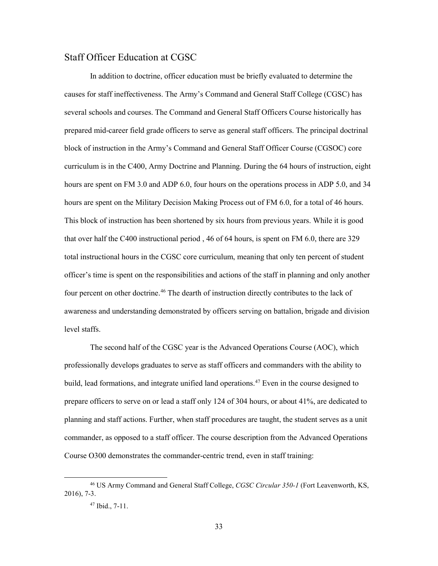#### <span id="page-40-0"></span>Staff Officer Education at CGSC

In addition to doctrine, officer education must be briefly evaluated to determine the causes for staff ineffectiveness. The Army's Command and General Staff College (CGSC) has several schools and courses. The Command and General Staff Officers Course historically has prepared mid-career field grade officers to serve as general staff officers. The principal doctrinal block of instruction in the Army's Command and General Staff Officer Course (CGSOC) core curriculum is in the C400, Army Doctrine and Planning. During the 64 hours of instruction, eight hours are spent on FM 3.0 and ADP 6.0, four hours on the operations process in ADP 5.0, and 34 hours are spent on the Military Decision Making Process out of FM 6.0, for a total of 46 hours. This block of instruction has been shortened by six hours from previous years. While it is good that over half the C400 instructional period , 46 of 64 hours, is spent on FM 6.0, there are 329 total instructional hours in the CGSC core curriculum, meaning that only ten percent of student officer's time is spent on the responsibilities and actions of the staff in planning and only another four percent on other doctrine.<sup>[46](#page-40-1)</sup> The dearth of instruction directly contributes to the lack of awareness and understanding demonstrated by officers serving on battalion, brigade and division level staffs.

The second half of the CGSC year is the Advanced Operations Course (AOC), which professionally develops graduates to serve as staff officers and commanders with the ability to build, lead formations, and integrate unified land operations. [47](#page-40-2) Even in the course designed to prepare officers to serve on or lead a staff only 124 of 304 hours, or about 41%, are dedicated to planning and staff actions. Further, when staff procedures are taught, the student serves as a unit commander, as opposed to a staff officer. The course description from the Advanced Operations Course O300 demonstrates the commander-centric trend, even in staff training:

<span id="page-40-2"></span><span id="page-40-1"></span> <sup>46</sup> US Army Command and General Staff College, *CGSC Circular 350-1* (Fort Leavenworth, KS, 2016), 7-3.

<sup>47</sup> Ibid., 7-11.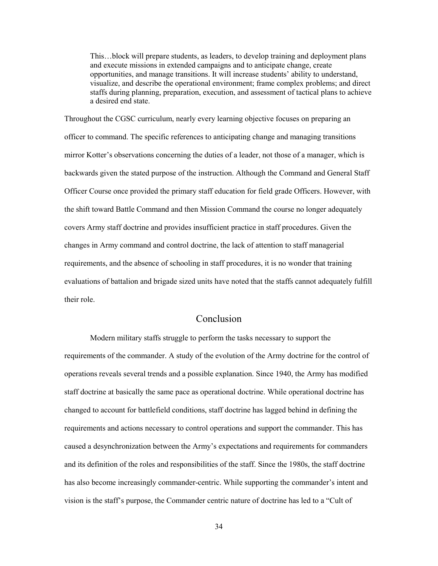This…block will prepare students, as leaders, to develop training and deployment plans and execute missions in extended campaigns and to anticipate change, create opportunities, and manage transitions. It will increase students' ability to understand, visualize, and describe the operational environment; frame complex problems; and direct staffs during planning, preparation, execution, and assessment of tactical plans to achieve a desired end state.

Throughout the CGSC curriculum, nearly every learning objective focuses on preparing an officer to command. The specific references to anticipating change and managing transitions mirror Kotter's observations concerning the duties of a leader, not those of a manager, which is backwards given the stated purpose of the instruction. Although the Command and General Staff Officer Course once provided the primary staff education for field grade Officers. However, with the shift toward Battle Command and then Mission Command the course no longer adequately covers Army staff doctrine and provides insufficient practice in staff procedures. Given the changes in Army command and control doctrine, the lack of attention to staff managerial requirements, and the absence of schooling in staff procedures, it is no wonder that training evaluations of battalion and brigade sized units have noted that the staffs cannot adequately fulfill their role.

#### Conclusion

<span id="page-41-0"></span>Modern military staffs struggle to perform the tasks necessary to support the requirements of the commander. A study of the evolution of the Army doctrine for the control of operations reveals several trends and a possible explanation. Since 1940, the Army has modified staff doctrine at basically the same pace as operational doctrine. While operational doctrine has changed to account for battlefield conditions, staff doctrine has lagged behind in defining the requirements and actions necessary to control operations and support the commander. This has caused a desynchronization between the Army's expectations and requirements for commanders and its definition of the roles and responsibilities of the staff. Since the 1980s, the staff doctrine has also become increasingly commander-centric. While supporting the commander's intent and vision is the staff's purpose, the Commander centric nature of doctrine has led to a "Cult of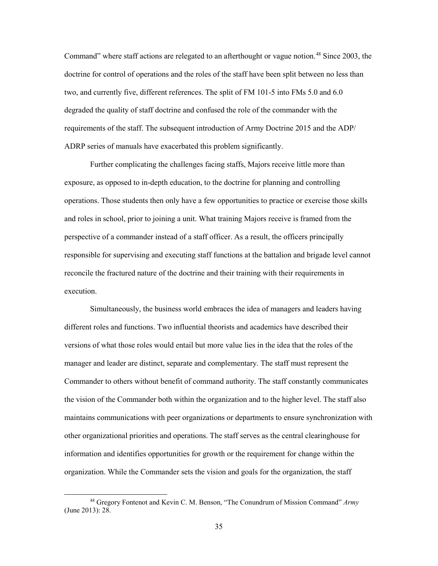Command" where staff actions are relegated to an afterthought or vague notion. [48](#page-42-0) Since 2003, the doctrine for control of operations and the roles of the staff have been split between no less than two, and currently five, different references. The split of FM 101-5 into FMs 5.0 and 6.0 degraded the quality of staff doctrine and confused the role of the commander with the requirements of the staff. The subsequent introduction of Army Doctrine 2015 and the ADP/ ADRP series of manuals have exacerbated this problem significantly.

Further complicating the challenges facing staffs, Majors receive little more than exposure, as opposed to in-depth education, to the doctrine for planning and controlling operations. Those students then only have a few opportunities to practice or exercise those skills and roles in school, prior to joining a unit. What training Majors receive is framed from the perspective of a commander instead of a staff officer. As a result, the officers principally responsible for supervising and executing staff functions at the battalion and brigade level cannot reconcile the fractured nature of the doctrine and their training with their requirements in execution.

Simultaneously, the business world embraces the idea of managers and leaders having different roles and functions. Two influential theorists and academics have described their versions of what those roles would entail but more value lies in the idea that the roles of the manager and leader are distinct, separate and complementary. The staff must represent the Commander to others without benefit of command authority. The staff constantly communicates the vision of the Commander both within the organization and to the higher level. The staff also maintains communications with peer organizations or departments to ensure synchronization with other organizational priorities and operations. The staff serves as the central clearinghouse for information and identifies opportunities for growth or the requirement for change within the organization. While the Commander sets the vision and goals for the organization, the staff

<span id="page-42-0"></span> <sup>48</sup> Gregory Fontenot and Kevin C. M. Benson, "The Conundrum of Mission Command" *Army* (June 2013): 28.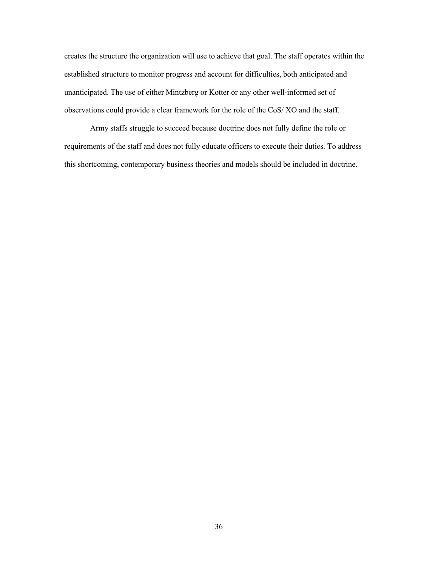creates the structure the organization will use to achieve that goal. The staff operates within the established structure to monitor progress and account for difficulties, both anticipated and unanticipated. The use of either Mintzberg or Kotter or any other well-informed set of observations could provide a clear framework for the role of the CoS/ XO and the staff.

Army staffs struggle to succeed because doctrine does not fully define the role or requirements of the staff and does not fully educate officers to execute their duties. To address this shortcoming, contemporary business theories and models should be included in doctrine.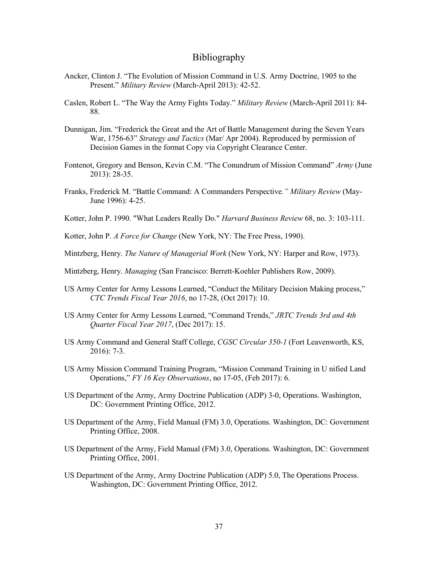#### Bibliography

- <span id="page-44-0"></span>Ancker, Clinton J. "The Evolution of Mission Command in U.S. Army Doctrine, 1905 to the Present." *Military Review* (March-April 2013): 42-52.
- Caslen, Robert L. "The Way the Army Fights Today." *Military Review* (March-April 2011): 84- 88.
- Dunnigan, Jim. "Frederick the Great and the Art of Battle Management during the Seven Years War, 1756-63" *Strategy and Tactics* (Mar/ Apr 2004). Reproduced by permission of Decision Games in the format Copy via Copyright Clearance Center.
- Fontenot, Gregory and Benson, Kevin C.M. "The Conundrum of Mission Command" *Army* (June 2013): 28-35.
- Franks, Frederick M. "Battle Command: A Commanders Perspective*." Military Review* (May-June 1996): 4-25.
- Kotter, John P. 1990. "What Leaders Really Do." *Harvard Business Review* 68, no. 3: 103-111.
- Kotter, John P. *A Force for Change* (New York, NY: The Free Press, 1990).
- Mintzberg, Henry. *The Nature of Managerial Work* (New York, NY: Harper and Row, 1973).
- Mintzberg, Henry. *Managing* (San Francisco: Berrett-Koehler Publishers Row, 2009).
- US Army Center for Army Lessons Learned, "Conduct the Military Decision Making process," *CTC Trends Fiscal Year 2016*, no 17-28, (Oct 2017): 10.
- US Army Center for Army Lessons Learned, "Command Trends," *JRTC Trends 3rd and 4th Quarter Fiscal Year 2017*, (Dec 2017): 15.
- US Army Command and General Staff College, *CGSC Circular 350-1* (Fort Leavenworth, KS, 2016): 7-3.
- US Army Mission Command Training Program, "Mission Command Training in U nified Land Operations," *FY 16 Key Observations*, no 17-05, (Feb 2017): 6.
- US Department of the Army, Army Doctrine Publication (ADP) 3-0, Operations. Washington, DC: Government Printing Office, 2012.
- US Department of the Army, Field Manual (FM) 3.0, Operations. Washington, DC: Government Printing Office, 2008.
- US Department of the Army, Field Manual (FM) 3.0, Operations. Washington, DC: Government Printing Office, 2001.
- US Department of the Army, Army Doctrine Publication (ADP) 5.0, The Operations Process. Washington, DC: Government Printing Office, 2012.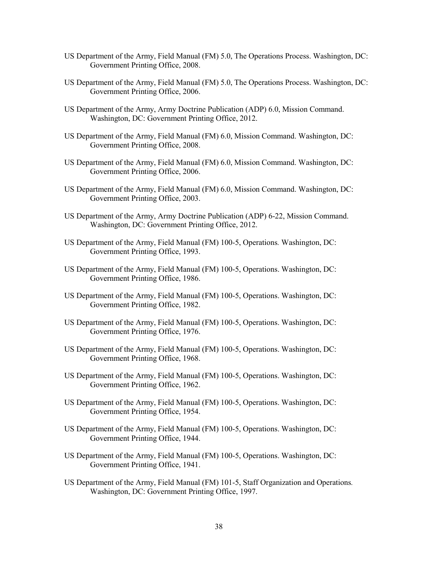- US Department of the Army, Field Manual (FM) 5.0, The Operations Process. Washington, DC: Government Printing Office, 2008.
- US Department of the Army, Field Manual (FM) 5.0, The Operations Process. Washington, DC: Government Printing Office, 2006.
- US Department of the Army, Army Doctrine Publication (ADP) 6.0, Mission Command. Washington, DC: Government Printing Office, 2012.
- US Department of the Army, Field Manual (FM) 6.0, Mission Command. Washington, DC: Government Printing Office, 2008.
- US Department of the Army, Field Manual (FM) 6.0, Mission Command. Washington, DC: Government Printing Office, 2006.
- US Department of the Army, Field Manual (FM) 6.0, Mission Command. Washington, DC: Government Printing Office, 2003.
- US Department of the Army, Army Doctrine Publication (ADP) 6-22, Mission Command. Washington, DC: Government Printing Office, 2012.
- US Department of the Army, Field Manual (FM) 100-5, Operations*.* Washington, DC: Government Printing Office, 1993.
- US Department of the Army, Field Manual (FM) 100-5, Operations. Washington, DC: Government Printing Office, 1986.
- US Department of the Army, Field Manual (FM) 100-5, Operations. Washington, DC: Government Printing Office, 1982.
- US Department of the Army, Field Manual (FM) 100-5, Operations. Washington, DC: Government Printing Office, 1976.
- US Department of the Army, Field Manual (FM) 100-5, Operations. Washington, DC: Government Printing Office, 1968.
- US Department of the Army, Field Manual (FM) 100-5, Operations. Washington, DC: Government Printing Office, 1962.
- US Department of the Army, Field Manual (FM) 100-5, Operations. Washington, DC: Government Printing Office, 1954.
- US Department of the Army, Field Manual (FM) 100-5, Operations. Washington, DC: Government Printing Office, 1944.
- US Department of the Army, Field Manual (FM) 100-5, Operations. Washington, DC: Government Printing Office, 1941.
- US Department of the Army, Field Manual (FM) 101-5, Staff Organization and Operations*.* Washington, DC: Government Printing Office, 1997.